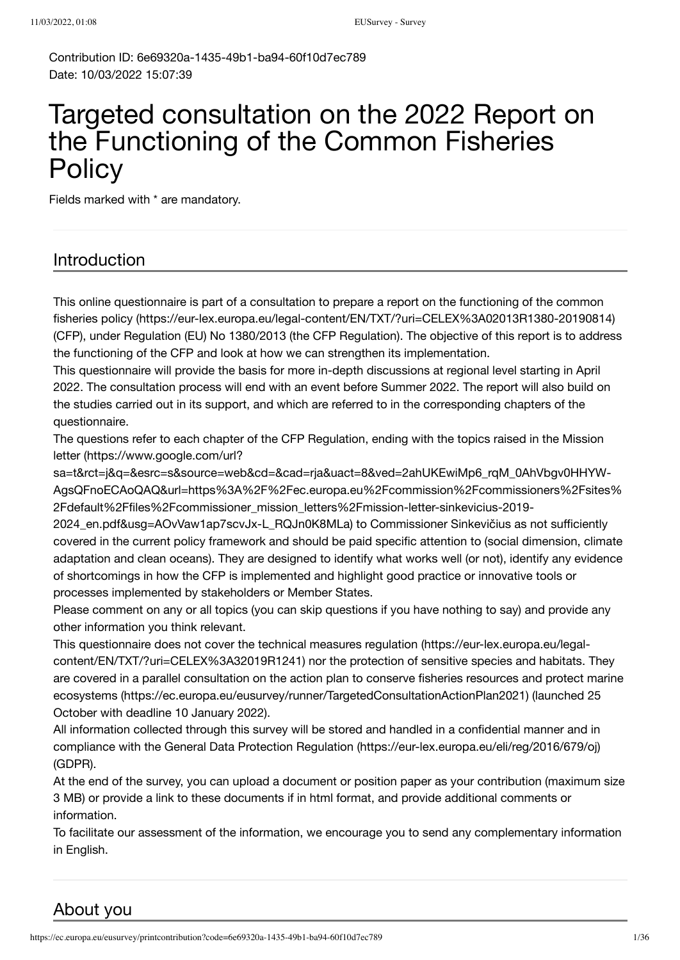Contribution ID: 6e69320a-1435-49b1-ba94-60f10d7ec789 Date: 10/03/2022 15:07:39

# Targeted consultation on the 2022 Report on the Functioning of the Common Fisheries **Policy**

Fields marked with \* are mandatory.

### Introduction

[This online questionnaire is part of a consultation to prepare a report on the functioning of the common](https://eur-lex.europa.eu/legal-content/EN/TXT/?uri=CELEX%3A02013R1380-20190814) fisheries policy (https://eur-lex.europa.eu/legal-content/EN/TXT/?uri=CELEX%3A02013R1380-20190814) (CFP), under Regulation (EU) No 1380/2013 (the CFP Regulation). The objective of this report is to address the functioning of the CFP and look at how we can strengthen its implementation.

This questionnaire will provide the basis for more in-depth discussions at regional level starting in April 2022. The consultation process will end with an event before Summer 2022. The report will also build on the studies carried out in its support, and which are referred to in the corresponding chapters of the questionnaire.

The questions refer to each chapter of the CFP Regulation, ending with the topics raised in the Mission letter (https://www.google.com/url?

sa=t&rct=j&q=&esrc=s&source=web&cd=&cad=rja&uact=8&ved=2ahUKEwiMp6\_rqM\_0AhVbgv0HHYW-[AgsQFnoECAoQAQ&url=https%3A%2F%2Fec.europa.eu%2Fcommission%2Fcommissioners%2Fsites%](https://www.google.com/url?sa=t&rct=j&q=&esrc=s&source=web&cd=&cad=rja&uact=8&ved=2ahUKEwiMp6_rqM_0AhVbgv0HHYW-AgsQFnoECAoQAQ&url=https%3A%2F%2Fec.europa.eu%2Fcommission%2Fcommissioners%2Fsites%2Fdefault%2Ffiles%2Fcommissioner_mission_letters%2Fmission-letter-sinkevicius-2019-2024_en.pdf&usg=AOvVaw1ap7scvJx-L_RQJn0K8MLa) 2Fdefault%2Ffiles%2Fcommissioner\_mission\_letters%2Fmission-letter-sinkevicius-2019-

2024\_en.pdf&usg=AOvVaw1ap7scvJx-L\_RQJn0K8MLa) to Commissioner Sinkevičius as not sufficiently covered in the current policy framework and should be paid specific attention to (social dimension, climate adaptation and clean oceans). They are designed to identify what works well (or not), identify any evidence of shortcomings in how the CFP is implemented and highlight good practice or innovative tools or processes implemented by stakeholders or Member States.

Please comment on any or all topics (you can skip questions if you have nothing to say) and provide any other information you think relevant.

[This questionnaire does not cover the technical measures regulation \(https://eur-lex.europa.eu/legal](https://eur-lex.europa.eu/legal-content/EN/TXT/?uri=CELEX%3A32019R1241)content/EN/TXT/?uri=CELEX%3A32019R1241) nor the protection of sensitive species and habitats. They [are covered in a parallel consultation on the action plan to conserve fisheries resources and protect marine](https://ec.europa.eu/eusurvey/runner/TargetedConsultationActionPlan2021) ecosystems (https://ec.europa.eu/eusurvey/runner/TargetedConsultationActionPlan2021) (launched 25 October with deadline 10 January 2022).

All information collected through this survey will be stored and handled in a confidential manner and in compliance with the [General Data Protection Regulation \(https://eur-lex.europa.eu/eli/reg/2016/679/oj\)](https://eur-lex.europa.eu/eli/reg/2016/679/oj) (GDPR).

At the end of the survey, you can upload a document or position paper as your contribution (maximum size 3 MB) or provide a link to these documents if in html format, and provide additional comments or information.

To facilitate our assessment of the information, we encourage you to send any complementary information in English.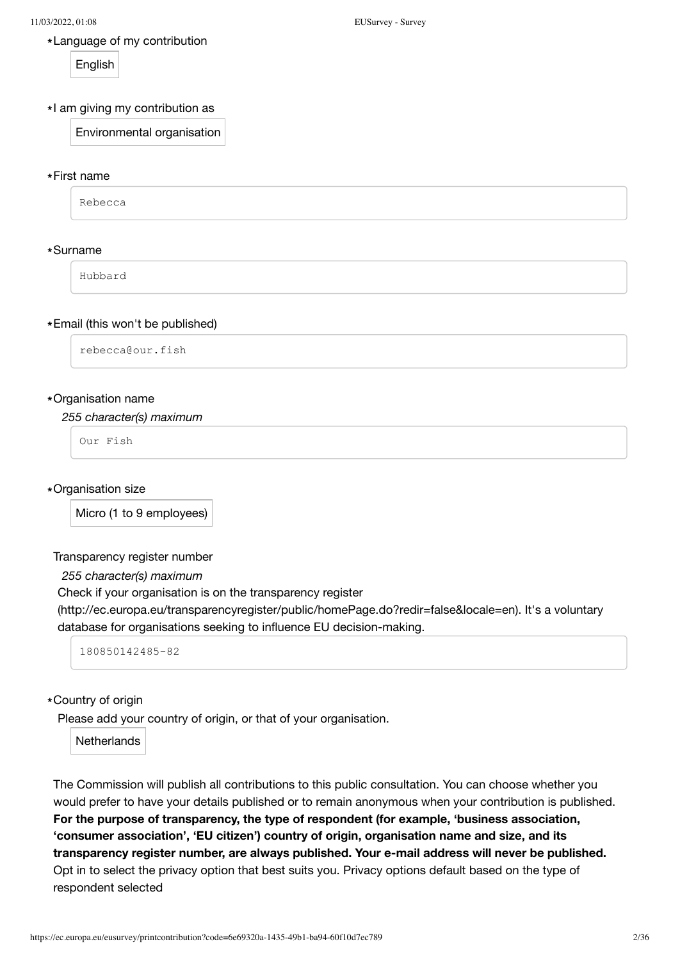Language of my contribution **\***

**English** 

Environmental organisation

### First name **\***

Rebecca

### Surname **\***

Hubbard

### Email (this won't be published) **\***

rebecca@our.fish

### Organisation name **\***

*255 character(s) maximum*

Our Fish

Organisation size **\***

Micro (1 to 9 employees)

### Transparency register number

*255 character(s) maximum*

Check if your organisation is on the transparency register

[\(http://ec.europa.eu/transparencyregister/public/homePage.do?redir=false&locale=en\).](http://ec.europa.eu/transparencyregister/public/homePage.do?redir=false&locale=en) It's a voluntary database for organisations seeking to influence EU decision-making.

180850142485-82

### Country of origin **\***

Please add your country of origin, or that of your organisation.

**Netherlands** 

The Commission will publish all contributions to this public consultation. You can choose whether you would prefer to have your details published or to remain anonymous when your contribution is published. **For the purpose of transparency, the type of respondent (for example, 'business association, 'consumer association', 'EU citizen') country of origin, organisation name and size, and its transparency register number, are always published. Your e-mail address will never be published.** Opt in to select the privacy option that best suits you. Privacy options default based on the type of respondent selected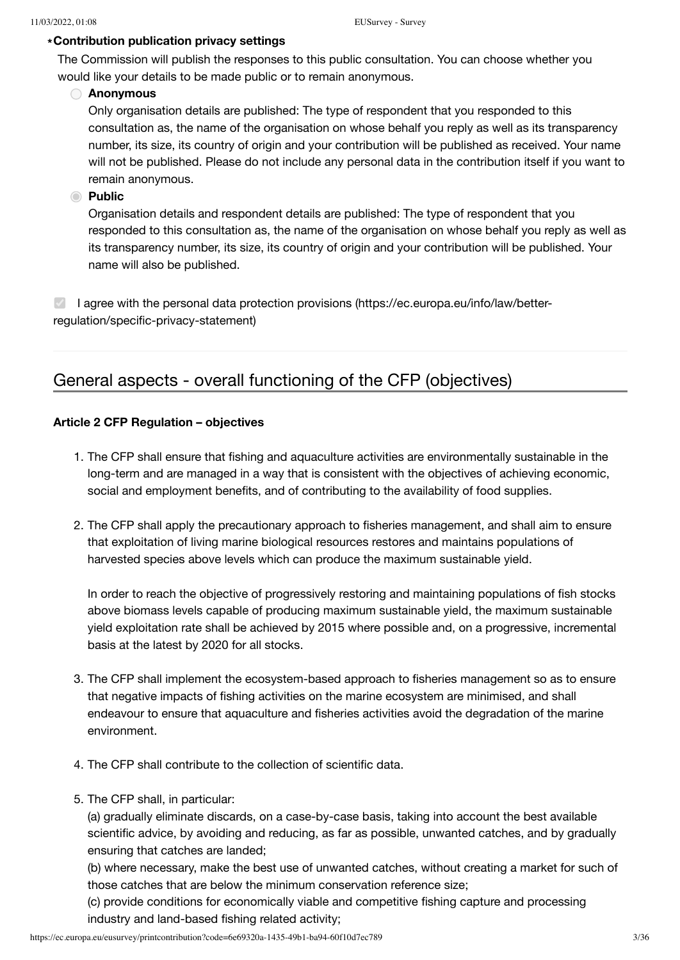### **Contribution publication privacy settings \***

The Commission will publish the responses to this public consultation. You can choose whether you would like your details to be made public or to remain anonymous.

### **Anonymous**

Only organisation details are published: The type of respondent that you responded to this consultation as, the name of the organisation on whose behalf you reply as well as its transparency number, its size, its country of origin and your contribution will be published as received. Your name will not be published. Please do not include any personal data in the contribution itself if you want to remain anonymous.

### **Public**

Organisation details and respondent details are published: The type of respondent that you responded to this consultation as, the name of the organisation on whose behalf you reply as well as its transparency number, its size, its country of origin and your contribution will be published. Your name will also be published.

 $\vee$  [I agree with the personal data protection provisions \(https://ec.europa.eu/info/law/better](https://ec.europa.eu/info/law/better-regulation/specific-privacy-statement)regulation/specific-privacy-statement)

## General aspects - overall functioning of the CFP (objectives)

### **Article 2 CFP Regulation – objectives**

- 1. The CFP shall ensure that fishing and aquaculture activities are environmentally sustainable in the long-term and are managed in a way that is consistent with the objectives of achieving economic, social and employment benefits, and of contributing to the availability of food supplies.
- 2. The CFP shall apply the precautionary approach to fisheries management, and shall aim to ensure that exploitation of living marine biological resources restores and maintains populations of harvested species above levels which can produce the maximum sustainable yield.

In order to reach the objective of progressively restoring and maintaining populations of fish stocks above biomass levels capable of producing maximum sustainable yield, the maximum sustainable yield exploitation rate shall be achieved by 2015 where possible and, on a progressive, incremental basis at the latest by 2020 for all stocks.

- 3. The CFP shall implement the ecosystem-based approach to fisheries management so as to ensure that negative impacts of fishing activities on the marine ecosystem are minimised, and shall endeavour to ensure that aquaculture and fisheries activities avoid the degradation of the marine environment.
- 4. The CFP shall contribute to the collection of scientific data.
- 5. The CFP shall, in particular:

(a) gradually eliminate discards, on a case-by-case basis, taking into account the best available scientific advice, by avoiding and reducing, as far as possible, unwanted catches, and by gradually ensuring that catches are landed;

(b) where necessary, make the best use of unwanted catches, without creating a market for such of those catches that are below the minimum conservation reference size;

(c) provide conditions for economically viable and competitive fishing capture and processing industry and land-based fishing related activity;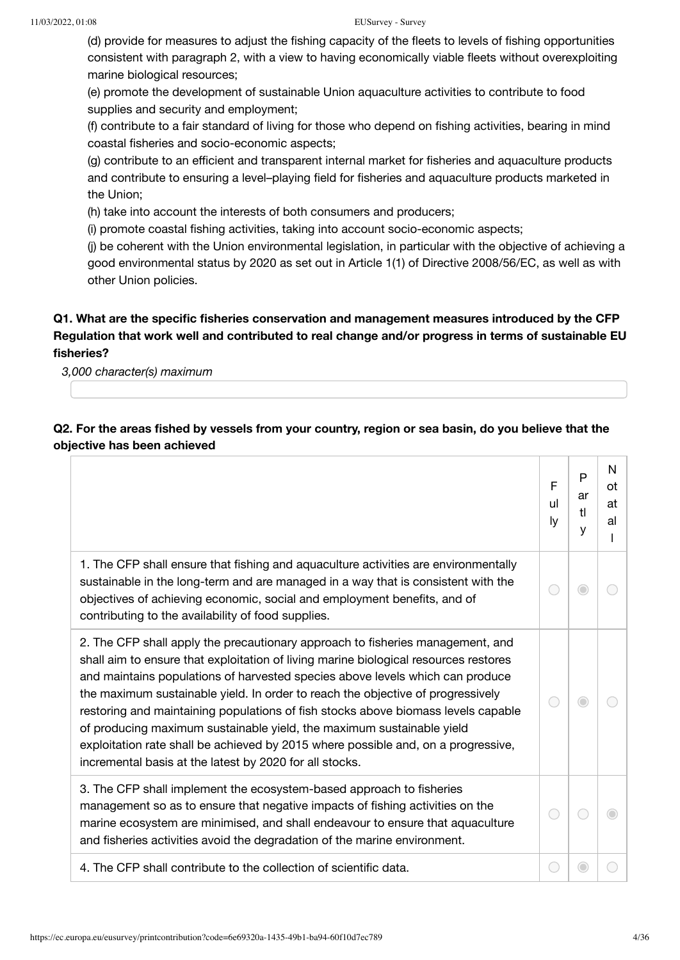(d) provide for measures to adjust the fishing capacity of the fleets to levels of fishing opportunities consistent with paragraph 2, with a view to having economically viable fleets without overexploiting marine biological resources;

(e) promote the development of sustainable Union aquaculture activities to contribute to food supplies and security and employment;

(f) contribute to a fair standard of living for those who depend on fishing activities, bearing in mind coastal fisheries and socio-economic aspects;

(g) contribute to an efficient and transparent internal market for fisheries and aquaculture products and contribute to ensuring a level–playing field for fisheries and aquaculture products marketed in the Union;

(h) take into account the interests of both consumers and producers;

(i) promote coastal fishing activities, taking into account socio-economic aspects;

(j) be coherent with the Union environmental legislation, in particular with the objective of achieving a good environmental status by 2020 as set out in Article 1(1) of Directive 2008/56/EC, as well as with other Union policies.

### **Q1. What are the specific fisheries conservation and management measures introduced by the CFP Regulation that work well and contributed to real change and/or progress in terms of sustainable EU fisheries?**

*3,000 character(s) maximum*

### **Q2. For the areas fished by vessels from your country, region or sea basin, do you believe that the objective has been achieved**

|                                                                                                                                                                                                                                                                                                                                                                                                                                                                                                                                                                                                                                                          | F<br>ul<br>ly | P<br>ar<br>t<br>у | N<br>ot<br>at<br>al |
|----------------------------------------------------------------------------------------------------------------------------------------------------------------------------------------------------------------------------------------------------------------------------------------------------------------------------------------------------------------------------------------------------------------------------------------------------------------------------------------------------------------------------------------------------------------------------------------------------------------------------------------------------------|---------------|-------------------|---------------------|
| 1. The CFP shall ensure that fishing and aquaculture activities are environmentally<br>sustainable in the long-term and are managed in a way that is consistent with the<br>objectives of achieving economic, social and employment benefits, and of<br>contributing to the availability of food supplies.                                                                                                                                                                                                                                                                                                                                               |               |                   |                     |
| 2. The CFP shall apply the precautionary approach to fisheries management, and<br>shall aim to ensure that exploitation of living marine biological resources restores<br>and maintains populations of harvested species above levels which can produce<br>the maximum sustainable yield. In order to reach the objective of progressively<br>restoring and maintaining populations of fish stocks above biomass levels capable<br>of producing maximum sustainable yield, the maximum sustainable yield<br>exploitation rate shall be achieved by 2015 where possible and, on a progressive,<br>incremental basis at the latest by 2020 for all stocks. |               |                   |                     |
| 3. The CFP shall implement the ecosystem-based approach to fisheries<br>management so as to ensure that negative impacts of fishing activities on the<br>marine ecosystem are minimised, and shall endeavour to ensure that aquaculture<br>and fisheries activities avoid the degradation of the marine environment.                                                                                                                                                                                                                                                                                                                                     |               |                   |                     |
| 4. The CFP shall contribute to the collection of scientific data.                                                                                                                                                                                                                                                                                                                                                                                                                                                                                                                                                                                        |               |                   |                     |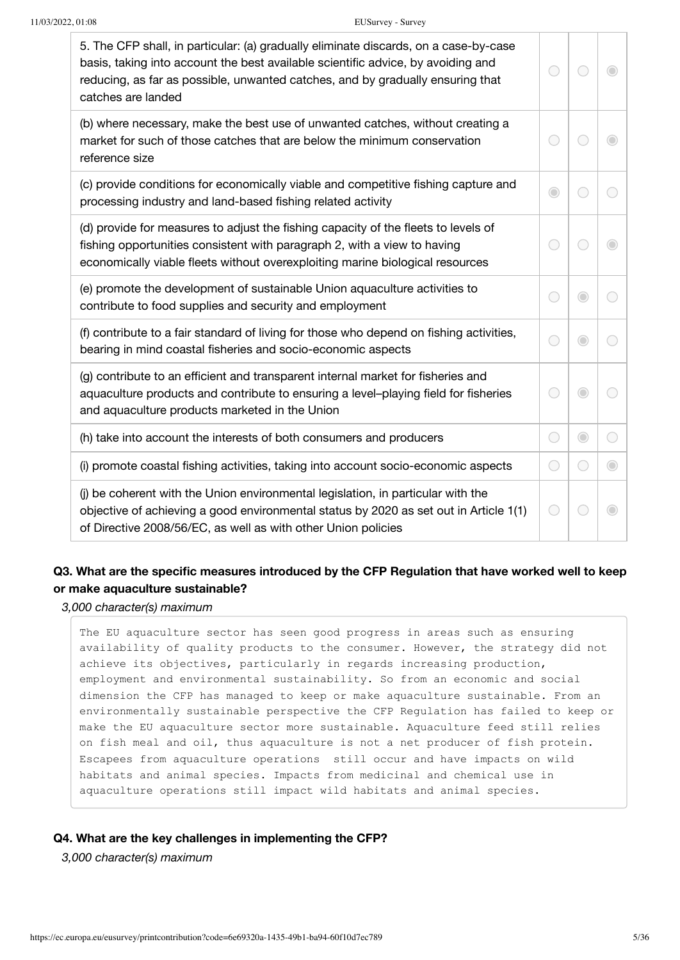| $\bigcirc$                                  |         |            |
|---------------------------------------------|---------|------------|
| 0                                           |         |            |
|                                             | O       |            |
|                                             | O       |            |
| $(\ )$                                      | $\circ$ |            |
| O                                           | O       |            |
| $\left(\begin{array}{c} \end{array}\right)$ |         | $\bigcirc$ |
|                                             |         |            |
|                                             |         |            |

### **Q3. What are the specific measures introduced by the CFP Regulation that have worked well to keep or make aquaculture sustainable?**

*3,000 character(s) maximum*

The EU aquaculture sector has seen good progress in areas such as ensuring availability of quality products to the consumer. However, the strategy did not achieve its objectives, particularly in regards increasing production, employment and environmental sustainability. So from an economic and social dimension the CFP has managed to keep or make aquaculture sustainable. From an environmentally sustainable perspective the CFP Regulation has failed to keep or make the EU aquaculture sector more sustainable. Aquaculture feed still relies on fish meal and oil, thus aquaculture is not a net producer of fish protein. Escapees from aquaculture operations still occur and have impacts on wild habitats and animal species. Impacts from medicinal and chemical use in aquaculture operations still impact wild habitats and animal species.

#### **Q4. What are the key challenges in implementing the CFP?**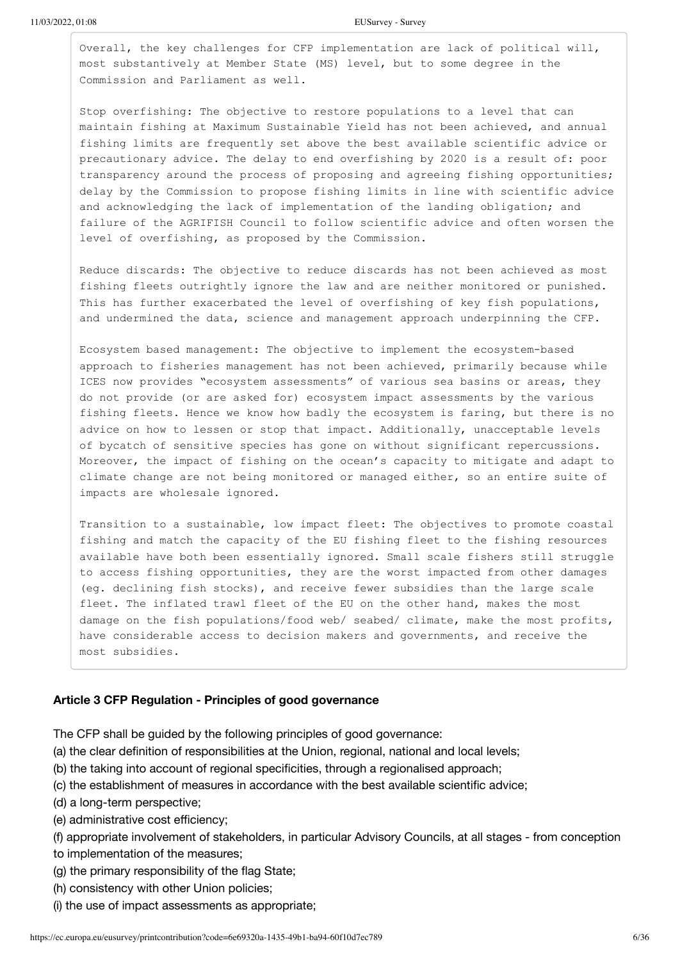11/03/2022, 01:08 EUSurvey - Survey

Overall, the key challenges for CFP implementation are lack of political will, most substantively at Member State (MS) level, but to some degree in the Commission and Parliament as well.

Stop overfishing: The objective to restore populations to a level that can maintain fishing at Maximum Sustainable Yield has not been achieved, and annual fishing limits are frequently set above the best available scientific advice or precautionary advice. The delay to end overfishing by 2020 is a result of: poor transparency around the process of proposing and agreeing fishing opportunities; delay by the Commission to propose fishing limits in line with scientific advice and acknowledging the lack of implementation of the landing obligation; and failure of the AGRIFISH Council to follow scientific advice and often worsen the level of overfishing, as proposed by the Commission.

Reduce discards: The objective to reduce discards has not been achieved as most fishing fleets outrightly ignore the law and are neither monitored or punished. This has further exacerbated the level of overfishing of key fish populations, and undermined the data, science and management approach underpinning the CFP.

Ecosystem based management: The objective to implement the ecosystem-based approach to fisheries management has not been achieved, primarily because while ICES now provides "ecosystem assessments" of various sea basins or areas, they do not provide (or are asked for) ecosystem impact assessments by the various fishing fleets. Hence we know how badly the ecosystem is faring, but there is no advice on how to lessen or stop that impact. Additionally, unacceptable levels of bycatch of sensitive species has gone on without significant repercussions. Moreover, the impact of fishing on the ocean's capacity to mitigate and adapt to climate change are not being monitored or managed either, so an entire suite of impacts are wholesale ignored.

Transition to a sustainable, low impact fleet: The objectives to promote coastal fishing and match the capacity of the EU fishing fleet to the fishing resources available have both been essentially ignored. Small scale fishers still struggle to access fishing opportunities, they are the worst impacted from other damages (eg. declining fish stocks), and receive fewer subsidies than the large scale fleet. The inflated trawl fleet of the EU on the other hand, makes the most damage on the fish populations/food web/ seabed/ climate, make the most profits, have considerable access to decision makers and governments, and receive the most subsidies.

### **Article 3 CFP Regulation - Principles of good governance**

The CFP shall be guided by the following principles of good governance:

- (a) the clear definition of responsibilities at the Union, regional, national and local levels;
- (b) the taking into account of regional specificities, through a regionalised approach;
- (c) the establishment of measures in accordance with the best available scientific advice;
- (d) a long-term perspective;
- (e) administrative cost efficiency;
- (f) appropriate involvement of stakeholders, in particular Advisory Councils, at all stages from conception
- to implementation of the measures;
- (g) the primary responsibility of the flag State;
- (h) consistency with other Union policies;
- (i) the use of impact assessments as appropriate;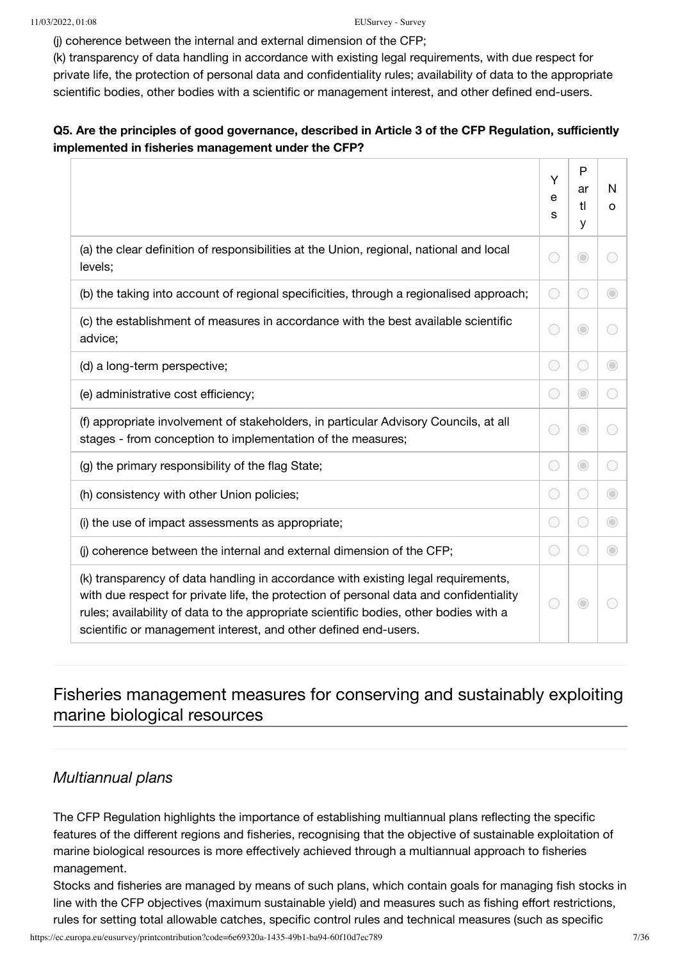(j) coherence between the internal and external dimension of the CFP;

(k) transparency of data handling in accordance with existing legal requirements, with due respect for private life, the protection of personal data and confidentiality rules; availability of data to the appropriate scientific bodies, other bodies with a scientific or management interest, and other defined end-users.

### **Q5. Are the principles of good governance, described in Article 3 of the CFP Regulation, sufficiently implemented in fisheries management under the CFP?**

|                                                                                                                                                                                                                                                                                                                                         | Υ<br>e<br>S                                 | P<br>ar<br>tl<br>У | N<br>$\circ$ |
|-----------------------------------------------------------------------------------------------------------------------------------------------------------------------------------------------------------------------------------------------------------------------------------------------------------------------------------------|---------------------------------------------|--------------------|--------------|
| (a) the clear definition of responsibilities at the Union, regional, national and local<br>levels;                                                                                                                                                                                                                                      |                                             | 0                  |              |
| (b) the taking into account of regional specificities, through a regionalised approach;                                                                                                                                                                                                                                                 | $\bigcirc$                                  | €                  | O            |
| (c) the establishment of measures in accordance with the best available scientific<br>advice;                                                                                                                                                                                                                                           | С.                                          | $\bigcirc$         |              |
| (d) a long-term perspective;                                                                                                                                                                                                                                                                                                            | $\bigcirc$                                  | $(\ )$             | $\bigcirc$   |
| (e) administrative cost efficiency;                                                                                                                                                                                                                                                                                                     | O                                           | $\bigcirc$         | 0            |
| (f) appropriate involvement of stakeholders, in particular Advisory Councils, at all<br>stages - from conception to implementation of the measures;                                                                                                                                                                                     | О.                                          | $\bigcirc$         | 0            |
| (g) the primary responsibility of the flag State;                                                                                                                                                                                                                                                                                       | 0                                           | $\bigcirc$         | 0            |
| (h) consistency with other Union policies;                                                                                                                                                                                                                                                                                              | $\bigcirc$                                  | ○                  | $\odot$      |
| (i) the use of impact assessments as appropriate;                                                                                                                                                                                                                                                                                       | $\left(\begin{array}{c} \end{array}\right)$ | О.                 | $\bigcirc$   |
| (j) coherence between the internal and external dimension of the CFP;                                                                                                                                                                                                                                                                   | O                                           | $\bigcirc$         | $\bigcirc$   |
| (k) transparency of data handling in accordance with existing legal requirements,<br>with due respect for private life, the protection of personal data and confidentiality<br>rules; availability of data to the appropriate scientific bodies, other bodies with a<br>scientific or management interest, and other defined end-users. |                                             | $\odot$            |              |

## Fisheries management measures for conserving and sustainably exploiting marine biological resources

### *Multiannual plans*

The CFP Regulation highlights the importance of establishing multiannual plans reflecting the specific features of the different regions and fisheries, recognising that the objective of sustainable exploitation of marine biological resources is more effectively achieved through a multiannual approach to fisheries management.

Stocks and fisheries are managed by means of such plans, which contain goals for managing fish stocks in line with the CFP objectives (maximum sustainable yield) and measures such as fishing effort restrictions, rules for setting total allowable catches, specific control rules and technical measures (such as specific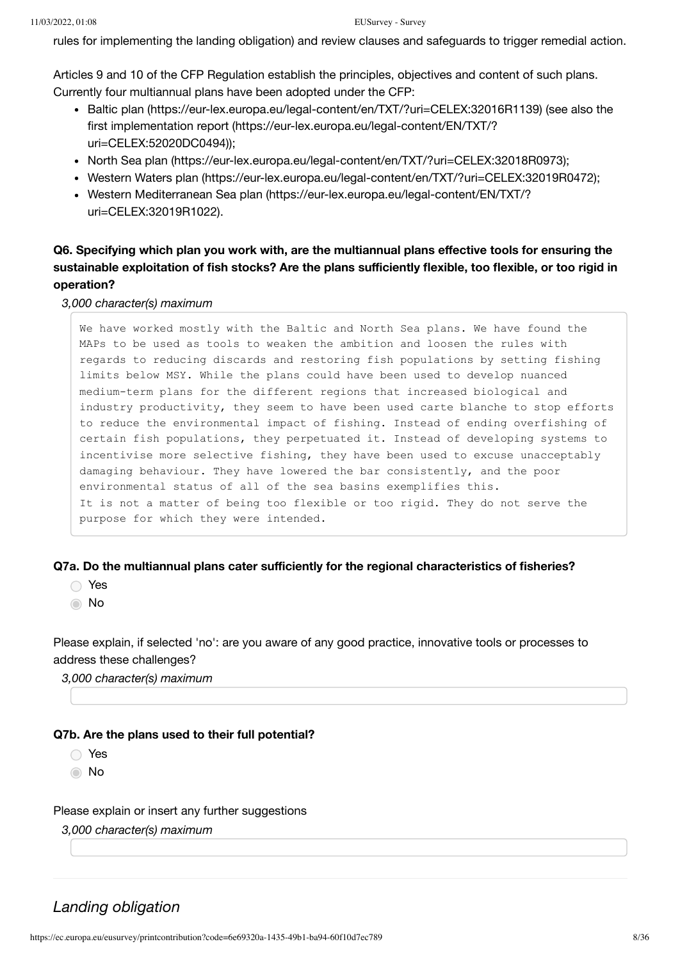rules for implementing the landing obligation) and review clauses and safeguards to trigger remedial action.

Articles 9 and 10 of the CFP Regulation establish the principles, objectives and content of such plans. Currently four multiannual plans have been adopted under the CFP:

- [Baltic plan \(https://eur-lex.europa.eu/legal-content/en/TXT/?uri=CELEX:32016R1139\)](https://eur-lex.europa.eu/legal-content/en/TXT/?uri=CELEX:32016R1139) (see also the [first implementation report \(https://eur-lex.europa.eu/legal-content/EN/TXT/?](https://eur-lex.europa.eu/legal-content/EN/TXT/?uri=CELEX:52020DC0494) uri=CELEX:52020DC0494));
- [North Sea plan \(https://eur-lex.europa.eu/legal-content/en/TXT/?uri=CELEX:32018R0973\);](https://eur-lex.europa.eu/legal-content/en/TXT/?uri=CELEX:32018R0973)
- [Western Waters plan \(https://eur-lex.europa.eu/legal-content/en/TXT/?uri=CELEX:32019R0472\)](https://eur-lex.europa.eu/legal-content/en/TXT/?uri=CELEX:32019R0472);
- [Western Mediterranean Sea plan \(https://eur-lex.europa.eu/legal-content/EN/TXT/?](https://eur-lex.europa.eu/legal-content/EN/TXT/?uri=CELEX:32019R1022) uri=CELEX:32019R1022).

### **Q6. Specifying which plan you work with, are the multiannual plans effective tools for ensuring the sustainable exploitation of fish stocks? Are the plans sufficiently flexible, too flexible, or too rigid in operation?**

*3,000 character(s) maximum*

We have worked mostly with the Baltic and North Sea plans. We have found the MAPs to be used as tools to weaken the ambition and loosen the rules with regards to reducing discards and restoring fish populations by setting fishing limits below MSY. While the plans could have been used to develop nuanced medium-term plans for the different regions that increased biological and industry productivity, they seem to have been used carte blanche to stop efforts to reduce the environmental impact of fishing. Instead of ending overfishing of certain fish populations, they perpetuated it. Instead of developing systems to incentivise more selective fishing, they have been used to excuse unacceptably damaging behaviour. They have lowered the bar consistently, and the poor environmental status of all of the sea basins exemplifies this. It is not a matter of being too flexible or too rigid. They do not serve the purpose for which they were intended.

#### **Q7a. Do the multiannual plans cater sufficiently for the regional characteristics of fisheries?**

- Yes
- **∩**No

Please explain, if selected 'no': are you aware of any good practice, innovative tools or processes to address these challenges?

*3,000 character(s) maximum*

#### **Q7b. Are the plans used to their full potential?**

Yes

**∩**No

#### Please explain or insert any further suggestions

*3,000 character(s) maximum*

### *Landing obligation*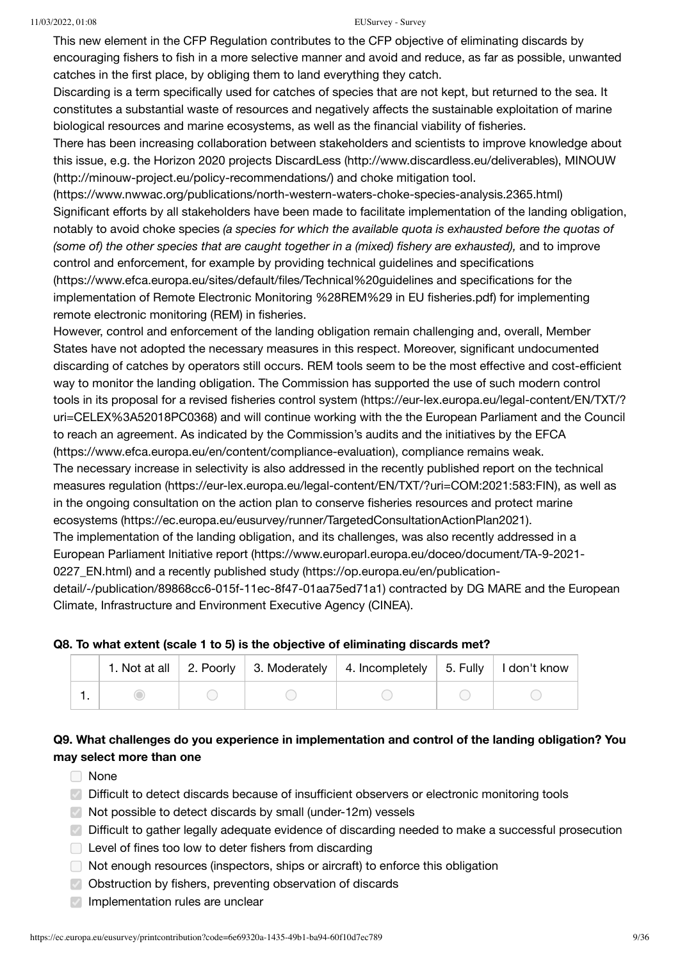This new element in the CFP Regulation contributes to the CFP objective of eliminating discards by encouraging fishers to fish in a more selective manner and avoid and reduce, as far as possible, unwanted catches in the first place, by obliging them to land everything they catch.

Discarding is a term specifically used for catches of species that are not kept, but returned to the sea. It constitutes a substantial waste of resources and negatively affects the sustainable exploitation of marine biological resources and marine ecosystems, as well as the financial viability of fisheries.

There has been increasing collaboration between stakeholders and scientists to improve knowledge about [this issue, e.g. the Horizon 2020 projects DiscardLess \(http://www.discardless.eu/deliverables\), MINOUW](http://minouw-project.eu/policy-recommendations/) (http://minouw-project.eu/policy-recommendations/) and choke mitigation tool.

[\(https://www.nwwac.org/publications/north-western-waters-choke-species-analysis.2365.html\)](https://www.nwwac.org/publications/north-western-waters-choke-species-analysis.2365.html) Significant efforts by all stakeholders have been made to facilitate implementation of the landing obligation, notably to avoid choke species *(a species for which the available quota is exhausted before the quotas of (some of) the other species that are caught together in a (mixed) fishery are exhausted),* and to improve control and enforcement, for example by providing technical guidelines and specifications [\(https://www.efca.europa.eu/sites/default/files/Technical%20guidelines and specifications for the](https://www.efca.europa.eu/sites/default/files/Technical%20guidelines%20and%20specifications%20for%20the%20implementation%20of%20Remote%20Electronic%20Monitoring%20%28REM%29%20in%20EU%20fisheries.pdf) implementation of Remote Electronic Monitoring %28REM%29 in EU fisheries.pdf) for implementing

remote electronic monitoring (REM) in fisheries.

However, control and enforcement of the landing obligation remain challenging and, overall, Member States have not adopted the necessary measures in this respect. Moreover, significant undocumented discarding of catches by operators still occurs. REM tools seem to be the most effective and cost-efficient way to monitor the landing obligation. The Commission has supported the use of such modern control [tools in its proposal for a revised fisheries control system \(https://eur-lex.europa.eu/legal-content/EN/TXT/?](https://eur-lex.europa.eu/legal-content/EN/TXT/?uri=CELEX%3A52018PC0368) uri=CELEX%3A52018PC0368) and will continue working with the the European Parliament and the Council [to reach an agreement. As indicated by the Commission's audits and the initiatives by the EFCA](https://www.efca.europa.eu/en/content/compliance-evaluation) (https://www.efca.europa.eu/en/content/compliance-evaluation), compliance remains weak. [The necessary increase in selectivity is also addressed in the recently published report on the technical](https://eur-lex.europa.eu/legal-content/EN/TXT/?uri=COM:2021:583:FIN) measures regulation (https://eur-lex.europa.eu/legal-content/EN/TXT/?uri=COM:2021:583:FIN), as well as [in the ongoing consultation on the action plan to conserve fisheries resources and protect marine](https://ec.europa.eu/eusurvey/runner/TargetedConsultationActionPlan2021) ecosystems (https://ec.europa.eu/eusurvey/runner/TargetedConsultationActionPlan2021). The implementation of the landing obligation, and its challenges, was also recently addressed in a [European Parliament Initiative report \(https://www.europarl.europa.eu/doceo/document/TA-9-2021-](https://www.europarl.europa.eu/doceo/document/TA-9-2021-0227_EN.html) [0227\\_EN.html\) and a recently published study \(https://op.europa.eu/en/publication-](https://op.europa.eu/en/publication-detail/-/publication/89868cc6-015f-11ec-8f47-01aa75ed71a1)

detail/-/publication/89868cc6-015f-11ec-8f47-01aa75ed71a1) contracted by DG MARE and the European Climate, Infrastructure and Environment Executive Agency (CINEA).

### **Q8. To what extent (scale 1 to 5) is the objective of eliminating discards met?**

|  |  | 1. Not at all   2. Poorly   3. Moderately   4. Incompletely   5. Fully   I don't know |  |
|--|--|---------------------------------------------------------------------------------------|--|
|  |  |                                                                                       |  |

### **Q9. What challenges do you experience in implementation and control of the landing obligation? You may select more than one**

- □ None
- $\heartsuit$  Difficult to detect discards because of insufficient observers or electronic monitoring tools
- Not possible to detect discards by small (under-12m) vessels
- **Difficult to gather legally adequate evidence of discarding needed to make a successful prosecution**
- Level of fines too low to deter fishers from discarding
- $\Box$  Not enough resources (inspectors, ships or aircraft) to enforce this obligation
- Obstruction by fishers, preventing observation of discards
- $\vee$  Implementation rules are unclear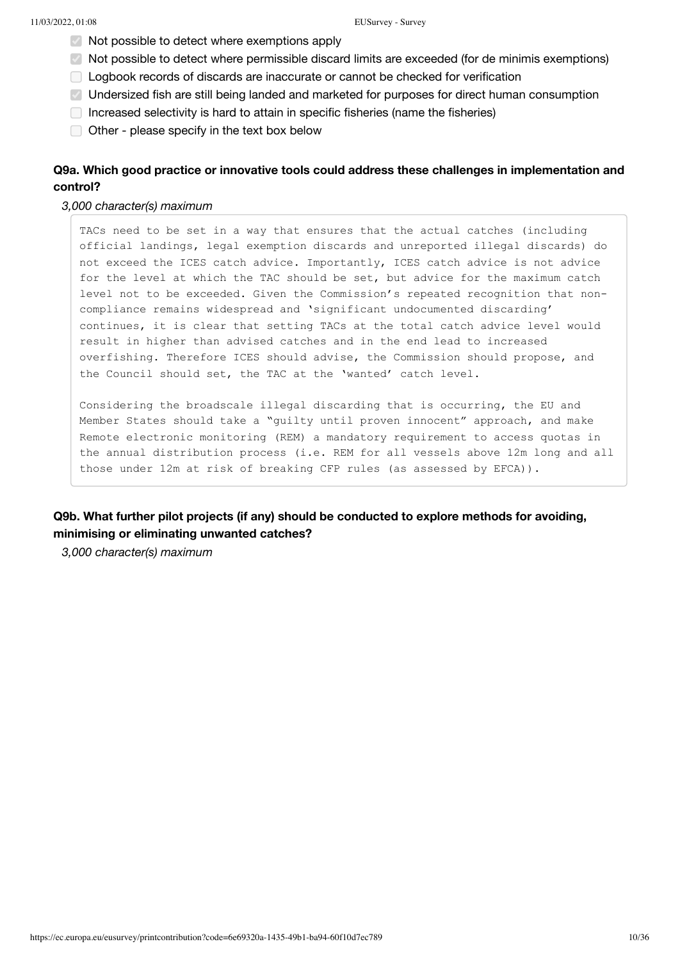- $\vee$  Not possible to detect where exemptions apply
- Not possible to detect where permissible discard limits are exceeded (for de minimis exemptions)
- Logbook records of discards are inaccurate or cannot be checked for verification
- Undersized fish are still being landed and marketed for purposes for direct human consumption
- $\Box$  Increased selectivity is hard to attain in specific fisheries (name the fisheries)
- $\Box$  Other please specify in the text box below

### **Q9a. Which good practice or innovative tools could address these challenges in implementation and control?**

#### *3,000 character(s) maximum*

TACs need to be set in a way that ensures that the actual catches (including official landings, legal exemption discards and unreported illegal discards) do not exceed the ICES catch advice. Importantly, ICES catch advice is not advice for the level at which the TAC should be set, but advice for the maximum catch level not to be exceeded. Given the Commission's repeated recognition that noncompliance remains widespread and 'significant undocumented discarding' continues, it is clear that setting TACs at the total catch advice level would result in higher than advised catches and in the end lead to increased overfishing. Therefore ICES should advise, the Commission should propose, and the Council should set, the TAC at the 'wanted' catch level.

Considering the broadscale illegal discarding that is occurring, the EU and Member States should take a "guilty until proven innocent" approach, and make Remote electronic monitoring (REM) a mandatory requirement to access quotas in the annual distribution process (i.e. REM for all vessels above 12m long and all those under 12m at risk of breaking CFP rules (as assessed by EFCA)).

### **Q9b. What further pilot projects (if any) should be conducted to explore methods for avoiding, minimising or eliminating unwanted catches?**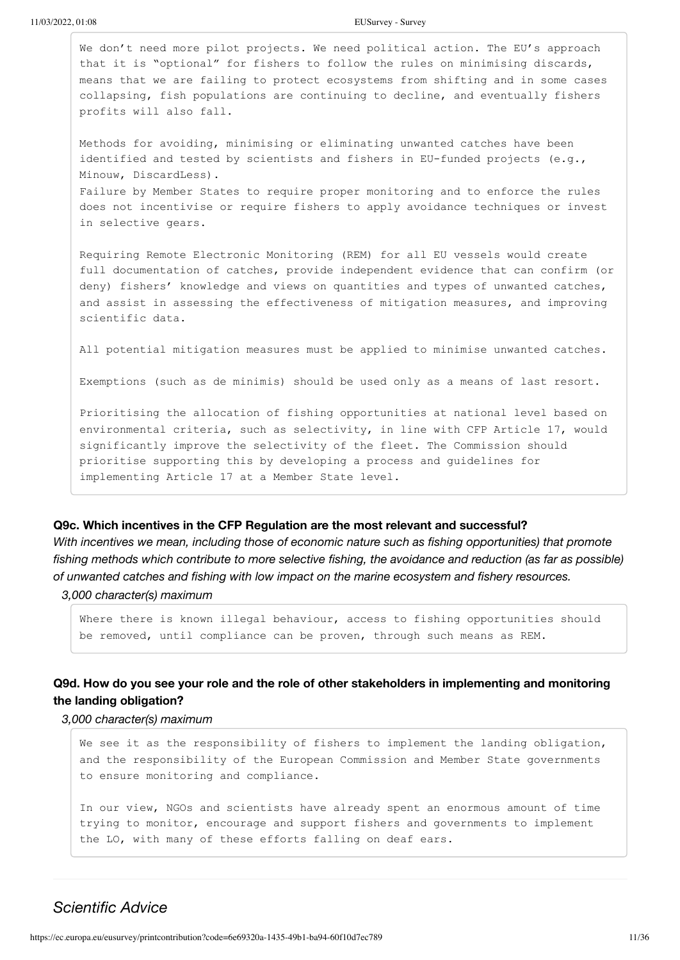11/03/2022, 01:08 EUSurvey - Survey

We don't need more pilot projects. We need political action. The EU's approach that it is "optional" for fishers to follow the rules on minimising discards, means that we are failing to protect ecosystems from shifting and in some cases collapsing, fish populations are continuing to decline, and eventually fishers profits will also fall.

Methods for avoiding, minimising or eliminating unwanted catches have been identified and tested by scientists and fishers in EU-funded projects (e.g., Minouw, DiscardLess). Failure by Member States to require proper monitoring and to enforce the rules does not incentivise or require fishers to apply avoidance techniques or invest in selective gears.

Requiring Remote Electronic Monitoring (REM) for all EU vessels would create full documentation of catches, provide independent evidence that can confirm (or deny) fishers' knowledge and views on quantities and types of unwanted catches, and assist in assessing the effectiveness of mitigation measures, and improving scientific data.

All potential mitigation measures must be applied to minimise unwanted catches.

Exemptions (such as de minimis) should be used only as a means of last resort.

Prioritising the allocation of fishing opportunities at national level based on environmental criteria, such as selectivity, in line with CFP Article 17, would significantly improve the selectivity of the fleet. The Commission should prioritise supporting this by developing a process and guidelines for implementing Article 17 at a Member State level.

#### **Q9c. Which incentives in the CFP Regulation are the most relevant and successful?**

*With incentives we mean, including those of economic nature such as fishing opportunities) that promote fishing methods which contribute to more selective fishing, the avoidance and reduction (as far as possible) of unwanted catches and fishing with low impact on the marine ecosystem and fishery resources.*

*3,000 character(s) maximum*

Where there is known illegal behaviour, access to fishing opportunities should be removed, until compliance can be proven, through such means as REM.

### **Q9d. How do you see your role and the role of other stakeholders in implementing and monitoring the landing obligation?**

*3,000 character(s) maximum*

We see it as the responsibility of fishers to implement the landing obligation, and the responsibility of the European Commission and Member State governments to ensure monitoring and compliance.

In our view, NGOs and scientists have already spent an enormous amount of time trying to monitor, encourage and support fishers and governments to implement the LO, with many of these efforts falling on deaf ears.

### *Scientific Advice*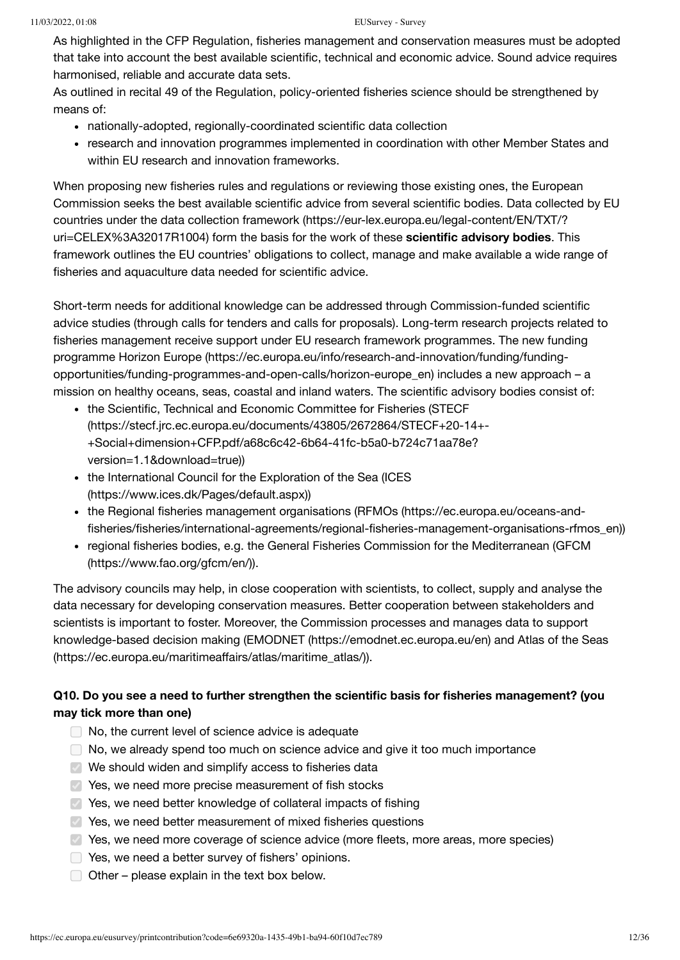As highlighted in the CFP Regulation, fisheries management and conservation measures must be adopted that take into account the best available scientific, technical and economic advice. Sound advice requires harmonised, reliable and accurate data sets.

As outlined in recital 49 of the Regulation, policy-oriented fisheries science should be strengthened by means of:

- nationally-adopted, regionally-coordinated scientific data collection
- research and innovation programmes implemented in coordination with other Member States and within EU research and innovation frameworks.

When proposing new fisheries rules and regulations or reviewing those existing ones, the European Commission seeks the best available scientific advice from several scientific bodies. Data collected by EU [countries under the data collection framework \(https://eur-lex.europa.eu/legal-content/EN/TXT/?](https://eur-lex.europa.eu/legal-content/EN/TXT/?uri=CELEX%3A32017R1004) uri=CELEX%3A32017R1004) form the basis for the work of these **scientific advisory bodies**. This framework outlines the EU countries' obligations to collect, manage and make available a wide range of fisheries and aquaculture data needed for scientific advice.

Short-term needs for additional knowledge can be addressed through Commission-funded scientific advice studies (through calls for tenders and calls for proposals). Long-term research projects related to fisheries management receive support under EU research framework programmes. The new funding [programme Horizon Europe \(https://ec.europa.eu/info/research-and-innovation/funding/funding](https://ec.europa.eu/info/research-and-innovation/funding/funding-opportunities/funding-programmes-and-open-calls/horizon-europe_en)opportunities/funding-programmes-and-open-calls/horizon-europe\_en) includes a new approach – a mission on healthy oceans, seas, coastal and inland waters. The scientific advisory bodies consist of:

- the Scientific, Technical and Economic Committee for Fisheries (STECF [\(https://stecf.jrc.ec.europa.eu/documents/43805/2672864/STECF+20-14+-](https://stecf.jrc.ec.europa.eu/documents/43805/2672864/STECF+20-14+-+Social+dimension+CFP.pdf/a68c6c42-6b64-41fc-b5a0-b724c71aa78e?version=1.1&download=true) +Social+dimension+CFP.pdf/a68c6c42-6b64-41fc-b5a0-b724c71aa78e? version=1.1&download=true))
- [the International Council for the Exploration of the Sea \(ICES](https://www.ices.dk/Pages/default.aspx) (https://www.ices.dk/Pages/default.aspx))
- [the Regional fisheries management organisations \(RFMOs \(https://ec.europa.eu/oceans-and](https://ec.europa.eu/oceans-and-fisheries/fisheries/international-agreements/regional-fisheries-management-organisations-rfmos_en)fisheries/fisheries/international-agreements/regional-fisheries-management-organisations-rfmos\_en))
- [regional fisheries bodies, e.g. the General Fisheries Commission for the Mediterranean \(GFCM](https://www.fao.org/gfcm/en/) (https://www.fao.org/gfcm/en/)).

The advisory councils may help, in close cooperation with scientists, to collect, supply and analyse the data necessary for developing conservation measures. Better cooperation between stakeholders and scientists is important to foster. Moreover, the Commission processes and manages data to support [knowledge-based decision making \(EMODNET \(https://emodnet.ec.europa.eu/en\) and Atlas of the Seas](https://ec.europa.eu/maritimeaffairs/atlas/maritime_atlas/) (https://ec.europa.eu/maritimeaffairs/atlas/maritime\_atlas/)).

### **Q10. Do you see a need to further strengthen the scientific basis for fisheries management? (you may tick more than one)**

- No, the current level of science advice is adequate
- $\Box$  No, we already spend too much on science advice and give it too much importance
- We should widen and simplify access to fisheries data
- $\vee$  Yes, we need more precise measurement of fish stocks
- Yes, we need better knowledge of collateral impacts of fishing
- Yes, we need better measurement of mixed fisheries questions
- $\triangledown$  Yes, we need more coverage of science advice (more fleets, more areas, more species)
- **Nes, we need a better survey of fishers' opinions.**
- $\Box$  Other please explain in the text box below.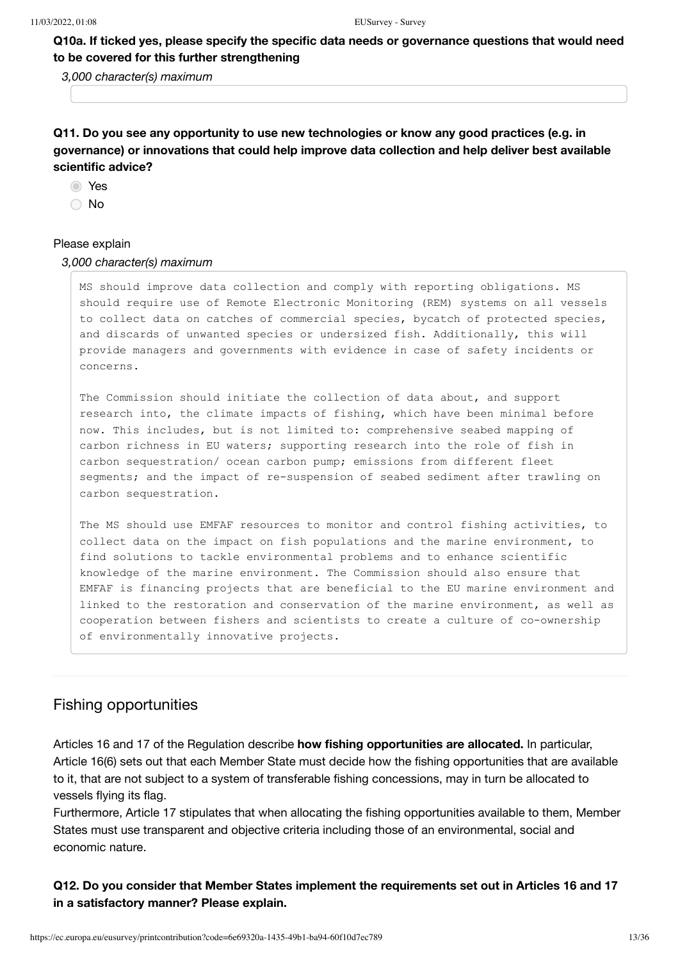**Q10a. If ticked yes, please specify the specific data needs or governance questions that would need to be covered for this further strengthening** 

*3,000 character(s) maximum*

**Q11. Do you see any opportunity to use new technologies or know any good practices (e.g. in governance) or innovations that could help improve data collection and help deliver best available scientific advice?**

**O** Yes

○ No

#### Please explain

#### *3,000 character(s) maximum*

MS should improve data collection and comply with reporting obligations. MS should require use of Remote Electronic Monitoring (REM) systems on all vessels to collect data on catches of commercial species, bycatch of protected species, and discards of unwanted species or undersized fish. Additionally, this will provide managers and governments with evidence in case of safety incidents or concerns.

The Commission should initiate the collection of data about, and support research into, the climate impacts of fishing, which have been minimal before now. This includes, but is not limited to: comprehensive seabed mapping of carbon richness in EU waters; supporting research into the role of fish in carbon sequestration/ ocean carbon pump; emissions from different fleet segments; and the impact of re-suspension of seabed sediment after trawling on carbon sequestration.

The MS should use EMFAF resources to monitor and control fishing activities, to collect data on the impact on fish populations and the marine environment, to find solutions to tackle environmental problems and to enhance scientific knowledge of the marine environment. The Commission should also ensure that EMFAF is financing projects that are beneficial to the EU marine environment and linked to the restoration and conservation of the marine environment, as well as cooperation between fishers and scientists to create a culture of co-ownership of environmentally innovative projects.

### Fishing opportunities

Articles 16 and 17 of the Regulation describe **how fishing opportunities are allocated.** In particular, Article 16(6) sets out that each Member State must decide how the fishing opportunities that are available to it, that are not subject to a system of transferable fishing concessions, may in turn be allocated to vessels flying its flag.

Furthermore, Article 17 stipulates that when allocating the fishing opportunities available to them, Member States must use transparent and objective criteria including those of an environmental, social and economic nature.

**Q12. Do you consider that Member States implement the requirements set out in Articles 16 and 17 in a satisfactory manner? Please explain.**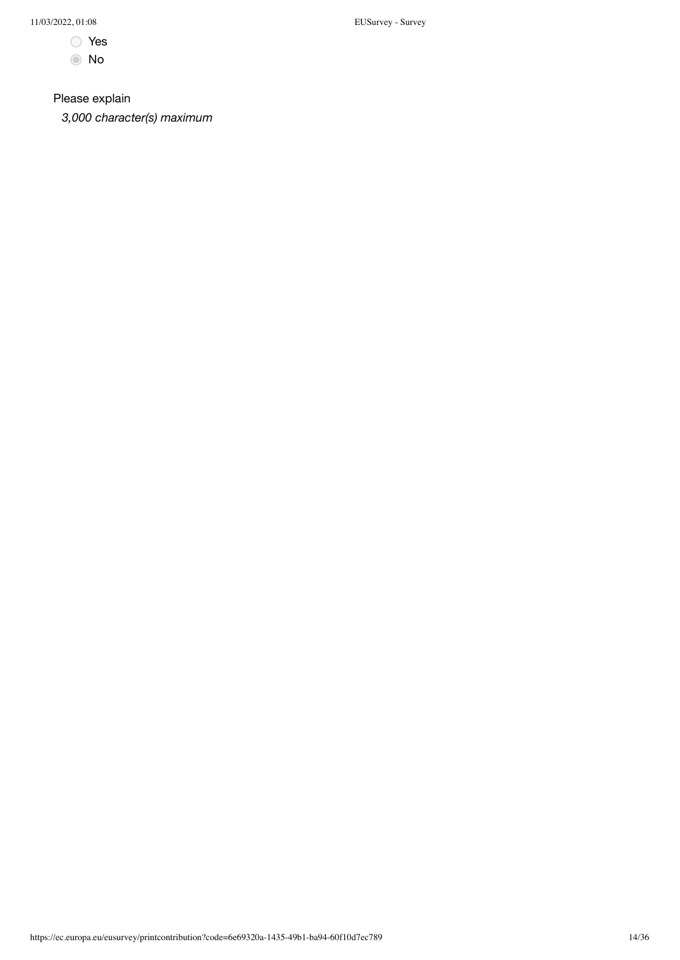- Yes
- No

Please explain

*3,000 character(s) maximum*

11/03/2022, 01:08 EUSurvey - Survey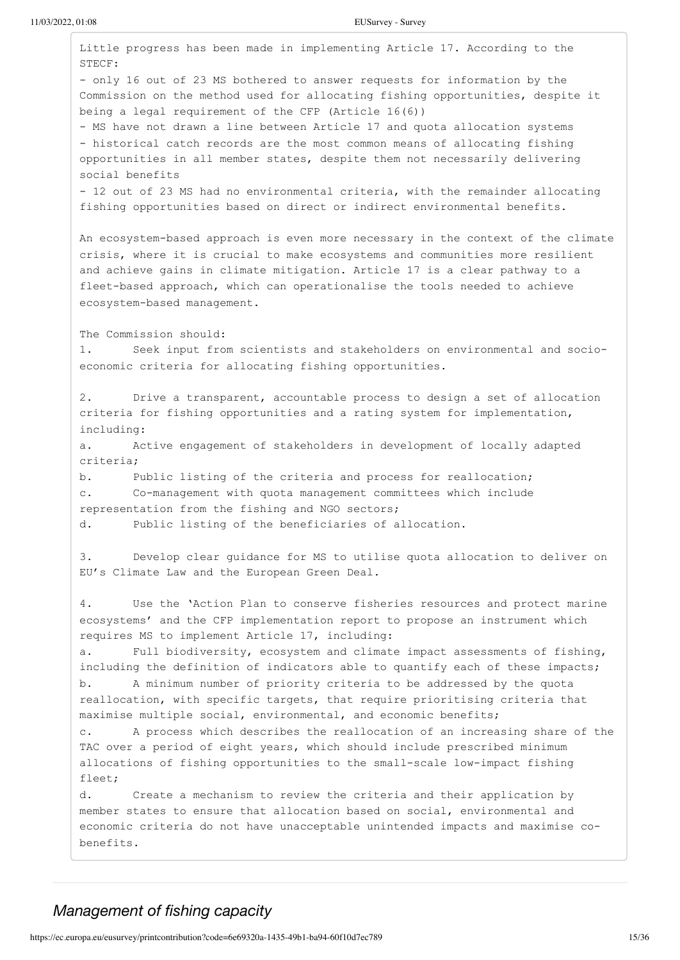Little progress has been made in implementing Article 17. According to the STECF: - only 16 out of 23 MS bothered to answer requests for information by the Commission on the method used for allocating fishing opportunities, despite it being a legal requirement of the CFP (Article 16(6)) - MS have not drawn a line between Article 17 and quota allocation systems - historical catch records are the most common means of allocating fishing opportunities in all member states, despite them not necessarily delivering social benefits - 12 out of 23 MS had no environmental criteria, with the remainder allocating fishing opportunities based on direct or indirect environmental benefits. An ecosystem-based approach is even more necessary in the context of the climate crisis, where it is crucial to make ecosystems and communities more resilient and achieve gains in climate mitigation. Article 17 is a clear pathway to a fleet-based approach, which can operationalise the tools needed to achieve ecosystem-based management. The Commission should: 1. Seek input from scientists and stakeholders on environmental and socioeconomic criteria for allocating fishing opportunities. 2. Drive a transparent, accountable process to design a set of allocation criteria for fishing opportunities and a rating system for implementation, including: a. Active engagement of stakeholders in development of locally adapted criteria; b. Public listing of the criteria and process for reallocation; c. Co-management with quota management committees which include representation from the fishing and NGO sectors; d. Public listing of the beneficiaries of allocation. 3. Develop clear guidance for MS to utilise quota allocation to deliver on EU's Climate Law and the European Green Deal. 4. Use the 'Action Plan to conserve fisheries resources and protect marine ecosystems' and the CFP implementation report to propose an instrument which requires MS to implement Article 17, including: Full biodiversity, ecosystem and climate impact assessments of fishing, including the definition of indicators able to quantify each of these impacts; b. A minimum number of priority criteria to be addressed by the quota reallocation, with specific targets, that require prioritising criteria that maximise multiple social, environmental, and economic benefits; c. A process which describes the reallocation of an increasing share of the TAC over a period of eight years, which should include prescribed minimum allocations of fishing opportunities to the small-scale low-impact fishing fleet; d. Create a mechanism to review the criteria and their application by member states to ensure that allocation based on social, environmental and economic criteria do not have unacceptable unintended impacts and maximise cobenefits.

### *Management of fishing capacity*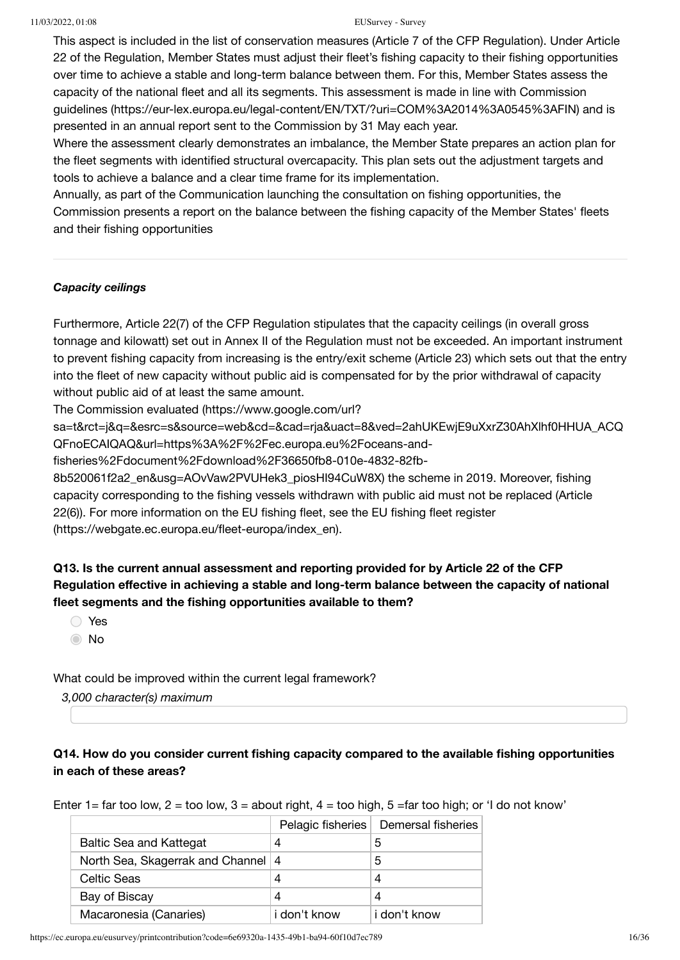This aspect is included in the list of conservation measures (Article 7 of the CFP Regulation). Under Article 22 of the Regulation, Member States must adjust their fleet's fishing capacity to their fishing opportunities over time to achieve a stable and long-term balance between them. For this, Member States assess the [capacity of the national fleet and all its segments. This assessment is made in line with Commission](https://eur-lex.europa.eu/legal-content/EN/TXT/?uri=COM%3A2014%3A0545%3AFIN) guidelines (https://eur-lex.europa.eu/legal-content/EN/TXT/?uri=COM%3A2014%3A0545%3AFIN) and is presented in an annual report sent to the Commission by 31 May each year.

Where the assessment clearly demonstrates an imbalance, the Member State prepares an action plan for the fleet segments with identified structural overcapacity. This plan sets out the adjustment targets and tools to achieve a balance and a clear time frame for its implementation.

Annually, as part of the Communication launching the consultation on fishing opportunities, the Commission presents a report on the balance between the fishing capacity of the Member States' fleets and their fishing opportunities

### *Capacity ceilings*

Furthermore, Article 22(7) of the CFP Regulation stipulates that the capacity ceilings (in overall gross tonnage and kilowatt) set out in Annex II of the Regulation must not be exceeded. An important instrument to prevent fishing capacity from increasing is the entry/exit scheme (Article 23) which sets out that the entry into the fleet of new capacity without public aid is compensated for by the prior withdrawal of capacity without public aid of at least the same amount.

The Commission evaluated (https://www.google.com/url?

[sa=t&rct=j&q=&esrc=s&source=web&cd=&cad=rja&uact=8&ved=2ahUKEwjE9uXxrZ30AhXlhf0HHUA\\_ACQ](https://www.google.com/url?sa=t&rct=j&q=&esrc=s&source=web&cd=&cad=rja&uact=8&ved=2ahUKEwjE9uXxrZ30AhXlhf0HHUA_ACQQFnoECAIQAQ&url=https%3A%2F%2Fec.europa.eu%2Foceans-and-fisheries%2Fdocument%2Fdownload%2F36650fb8-010e-4832-82fb-8b520061f2a2_en&usg=AOvVaw2PVUHek3_piosHI94CuW8X) QFnoECAIQAQ&url=https%3A%2F%2Fec.europa.eu%2Foceans-and-

fisheries%2Fdocument%2Fdownload%2F36650fb8-010e-4832-82fb-

8b520061f2a2\_en&usg=AOvVaw2PVUHek3\_piosHI94CuW8X) the scheme in 2019. Moreover, fishing capacity corresponding to the fishing vessels withdrawn with public aid must not be replaced (Article [22\(6\)\). For more information on the EU fishing fleet, see the EU fishing fleet register](https://webgate.ec.europa.eu/fleet-europa/index_en) (https://webgate.ec.europa.eu/fleet-europa/index\_en).

### **Q13. Is the current annual assessment and reporting provided for by Article 22 of the CFP Regulation effective in achieving a stable and long-term balance between the capacity of national fleet segments and the fishing opportunities available to them?**

- Yes
- No

What could be improved within the current legal framework?

*3,000 character(s) maximum*

### **Q14. How do you consider current fishing capacity compared to the available fishing opportunities in each of these areas?**

Enter 1= far too low, 2 = too low, 3 = about right,  $4 =$  too high, 5 = far too high; or 'I do not know'

|                                    |              | Pelagic fisheries   Demersal fisheries |
|------------------------------------|--------------|----------------------------------------|
| <b>Baltic Sea and Kattegat</b>     | 4            | 5                                      |
| North Sea, Skagerrak and Channel 4 |              | 5                                      |
| Celtic Seas                        | 4            | 4                                      |
| Bay of Biscay                      | 4            | 4                                      |
| Macaronesia (Canaries)             | i don't know | i don't know                           |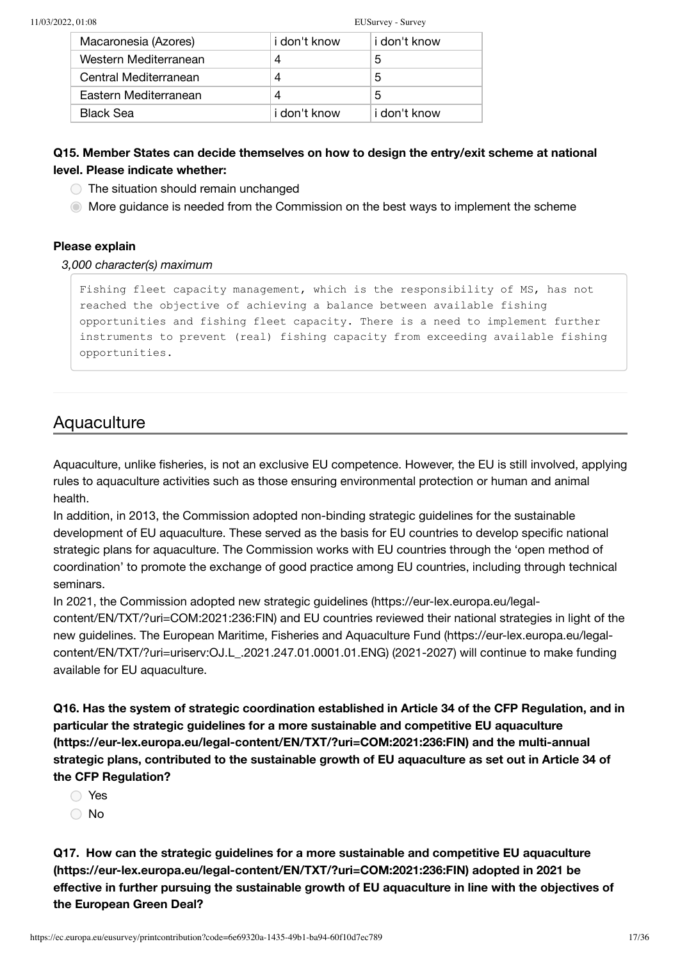| Macaronesia (Azores)  | i don't know | i don't know |
|-----------------------|--------------|--------------|
| Western Mediterranean | 4            | 5            |
| Central Mediterranean | 4            | 5            |
| Eastern Mediterranean | 4            | 5            |
| <b>Black Sea</b>      | i don't know | i don't know |

### **Q15. Member States can decide themselves on how to design the entry/exit scheme at national level. Please indicate whether:**

- $\bigcirc$  The situation should remain unchanged
- More guidance is needed from the Commission on the best ways to implement the scheme

### **Please explain**

### *3,000 character(s) maximum*

Fishing fleet capacity management, which is the responsibility of MS, has not reached the objective of achieving a balance between available fishing opportunities and fishing fleet capacity. There is a need to implement further instruments to prevent (real) fishing capacity from exceeding available fishing opportunities.

### **Aquaculture**

Aquaculture, unlike fisheries, is not an exclusive EU competence. However, the EU is still involved, applying rules to aquaculture activities such as those ensuring environmental protection or human and animal health.

In addition, in 2013, the Commission adopted non-binding strategic guidelines for the sustainable development of EU aquaculture. These served as the basis for EU countries to develop specific national strategic plans for aquaculture. The Commission works with EU countries through the 'open method of coordination' to promote the exchange of good practice among EU countries, including through technical seminars.

[In 2021, the Commission adopted new strategic guidelines \(https://eur-lex.europa.eu/legal](https://eur-lex.europa.eu/legal-content/EN/TXT/?uri=COM:2021:236:FIN)content/EN/TXT/?uri=COM:2021:236:FIN) and EU countries reviewed their national strategies in light of the [new guidelines. The European Maritime, Fisheries and Aquaculture Fund \(https://eur-lex.europa.eu/legal](https://eur-lex.europa.eu/legal-content/EN/TXT/?uri=uriserv:OJ.L_.2021.247.01.0001.01.ENG)content/EN/TXT/?uri=uriserv:OJ.L\_.2021.247.01.0001.01.ENG) (2021-2027) will continue to make funding available for EU aquaculture.

**Q16. Has the system of strategic coordination established in Article 34 of the CFP Regulation, and in [particular the strategic guidelines for a more sustainable and competitive EU aquaculture](https://eur-lex.europa.eu/legal-content/EN/TXT/?uri=COM:2021:236:FIN) (https://eur-lex.europa.eu/legal-content/EN/TXT/?uri=COM:2021:236:FIN) and the multi-annual strategic plans, contributed to the sustainable growth of EU aquaculture as set out in Article 34 of the CFP Regulation?**

- Yes
- ∩ No

**[Q17. How can the strategic guidelines for a more sustainable and competitive EU aquaculture](https://eur-lex.europa.eu/legal-content/EN/TXT/?uri=COM:2021:236:FIN) (https://eur-lex.europa.eu/legal-content/EN/TXT/?uri=COM:2021:236:FIN) adopted in 2021 be effective in further pursuing the sustainable growth of EU aquaculture in line with the objectives of the European Green Deal?**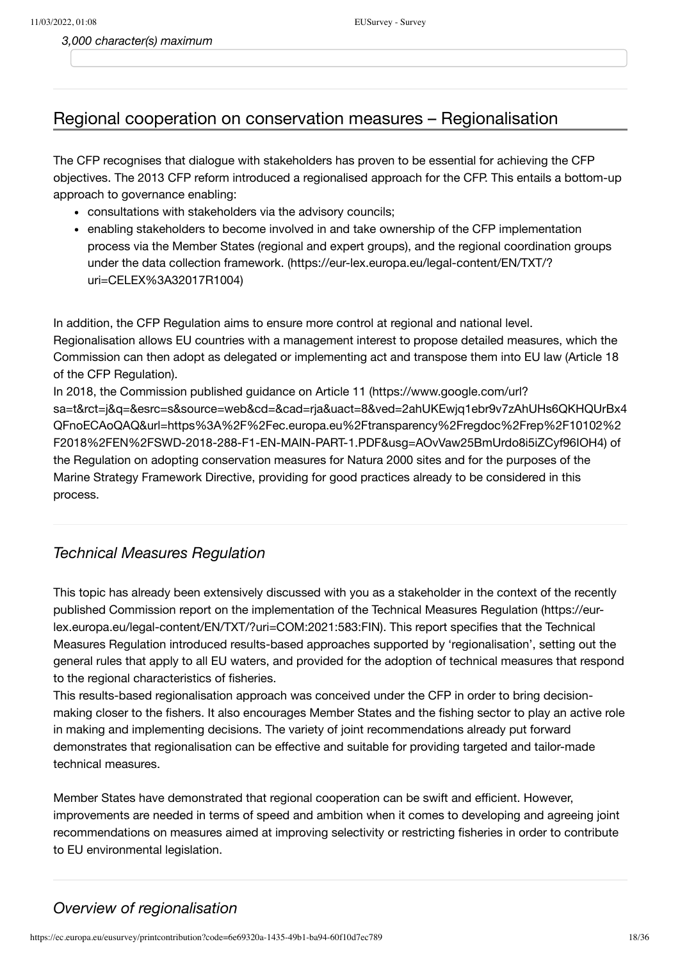*3,000 character(s) maximum*

## Regional cooperation on conservation measures – Regionalisation

The CFP recognises that dialogue with stakeholders has proven to be essential for achieving the CFP objectives. The 2013 CFP reform introduced a regionalised approach for the CFP. This entails a bottom-up approach to governance enabling:

- consultations with stakeholders via the advisory councils;
- enabling stakeholders to become involved in and take ownership of the CFP implementation process via the Member States (regional and expert groups), and the regional coordination groups [under the data collection framework. \(https://eur-lex.europa.eu/legal-content/EN/TXT/?](https://eur-lex.europa.eu/legal-content/EN/TXT/?uri=CELEX%3A32017R1004) uri=CELEX%3A32017R1004)

In addition, the CFP Regulation aims to ensure more control at regional and national level. Regionalisation allows EU countries with a management interest to propose detailed measures, which the Commission can then adopt as delegated or implementing act and transpose them into EU law (Article 18 of the CFP Regulation).

In 2018, the Commission published guidance on Article 11 (https://www.google.com/url? [sa=t&rct=j&q=&esrc=s&source=web&cd=&cad=rja&uact=8&ved=2ahUKEwjq1ebr9v7zAhUHs6QKHQUrBx4](https://www.google.com/url?sa=t&rct=j&q=&esrc=s&source=web&cd=&cad=rja&uact=8&ved=2ahUKEwjq1ebr9v7zAhUHs6QKHQUrBx4QFnoECAoQAQ&url=https%3A%2F%2Fec.europa.eu%2Ftransparency%2Fregdoc%2Frep%2F10102%2F2018%2FEN%2FSWD-2018-288-F1-EN-MAIN-PART-1.PDF&usg=AOvVaw25BmUrdo8i5iZCyf96IOH4) QFnoECAoQAQ&url=https%3A%2F%2Fec.europa.eu%2Ftransparency%2Fregdoc%2Frep%2F10102%2 F2018%2FEN%2FSWD-2018-288-F1-EN-MAIN-PART-1.PDF&usg=AOvVaw25BmUrdo8i5iZCyf96IOH4) of the Regulation on adopting conservation measures for Natura 2000 sites and for the purposes of the Marine Strategy Framework Directive, providing for good practices already to be considered in this process.

### *Technical Measures Regulation*

This topic has already been extensively discussed with you as a stakeholder in the context of the recently [published Commission report on the implementation of the Technical Measures Regulation \(https://eur](https://eur-lex.europa.eu/legal-content/EN/TXT/?uri=COM:2021:583:FIN)lex.europa.eu/legal-content/EN/TXT/?uri=COM:2021:583:FIN). This report specifies that the Technical Measures Regulation introduced results-based approaches supported by 'regionalisation', setting out the general rules that apply to all EU waters, and provided for the adoption of technical measures that respond to the regional characteristics of fisheries.

This results-based regionalisation approach was conceived under the CFP in order to bring decisionmaking closer to the fishers. It also encourages Member States and the fishing sector to play an active role in making and implementing decisions. The variety of joint recommendations already put forward demonstrates that regionalisation can be effective and suitable for providing targeted and tailor-made technical measures.

Member States have demonstrated that regional cooperation can be swift and efficient. However, improvements are needed in terms of speed and ambition when it comes to developing and agreeing joint recommendations on measures aimed at improving selectivity or restricting fisheries in order to contribute to EU environmental legislation.

### *Overview of regionalisation*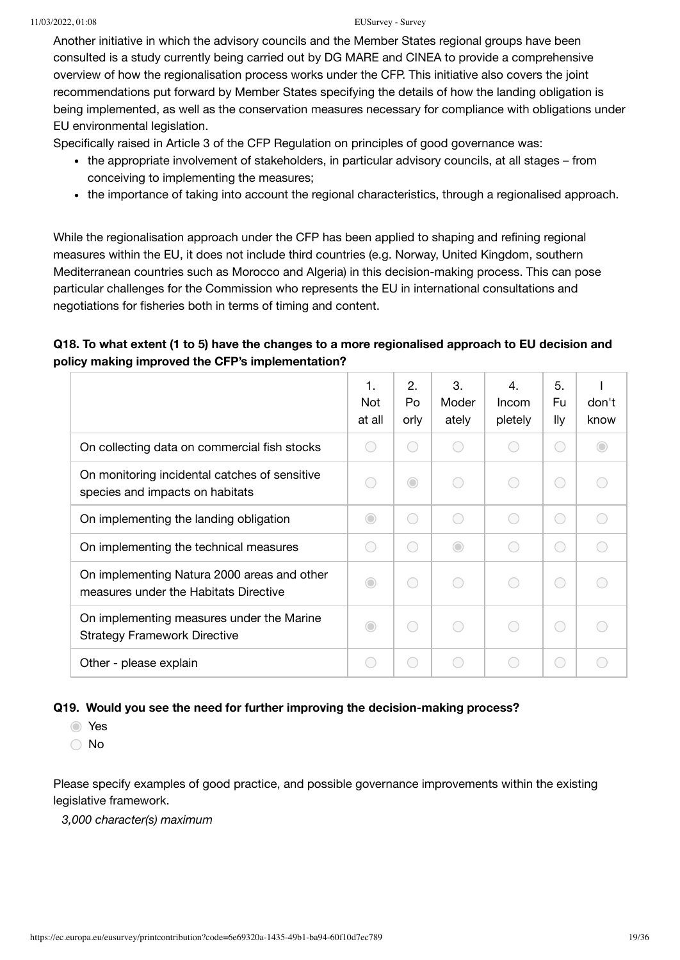Another initiative in which the advisory councils and the Member States regional groups have been consulted is a study currently being carried out by DG MARE and CINEA to provide a comprehensive overview of how the regionalisation process works under the CFP. This initiative also covers the joint recommendations put forward by Member States specifying the details of how the landing obligation is being implemented, as well as the conservation measures necessary for compliance with obligations under EU environmental legislation.

Specifically raised in Article 3 of the CFP Regulation on principles of good governance was:

- the appropriate involvement of stakeholders, in particular advisory councils, at all stages from conceiving to implementing the measures;
- the importance of taking into account the regional characteristics, through a regionalised approach.

While the regionalisation approach under the CFP has been applied to shaping and refining regional measures within the EU, it does not include third countries (e.g. Norway, United Kingdom, southern Mediterranean countries such as Morocco and Algeria) in this decision-making process. This can pose particular challenges for the Commission who represents the EU in international consultations and negotiations for fisheries both in terms of timing and content.

### **Q18. To what extent (1 to 5) have the changes to a more regionalised approach to EU decision and policy making improved the CFP's implementation?**

|                                                                                      | 1.<br><b>Not</b><br>at all | 2.<br>Po<br>orly | 3.<br>Moder<br>ately | $\overline{4}$ .<br>Incom<br>pletely | 5.<br>Fu<br>lly | don't<br>know |
|--------------------------------------------------------------------------------------|----------------------------|------------------|----------------------|--------------------------------------|-----------------|---------------|
| On collecting data on commercial fish stocks                                         |                            |                  |                      |                                      | O               |               |
| On monitoring incidental catches of sensitive<br>species and impacts on habitats     |                            | $\bigcirc$       |                      | 0                                    | 0               |               |
| On implementing the landing obligation                                               | $\bigcirc$                 | 0                | O                    | 0                                    | C               |               |
| On implementing the technical measures                                               |                            | C .              | $\bigcirc$           | 0                                    | 0               |               |
| On implementing Natura 2000 areas and other<br>measures under the Habitats Directive | ◯                          | С.               |                      | 0                                    | 0               |               |
| On implementing measures under the Marine<br><b>Strategy Framework Directive</b>     | $\bigcirc$                 | С.               |                      |                                      | 0               |               |
| Other - please explain                                                               |                            |                  |                      |                                      | С.              |               |

### **Q19. Would you see the need for further improving the decision-making process?**

Yes

No

Please specify examples of good practice, and possible governance improvements within the existing legislative framework.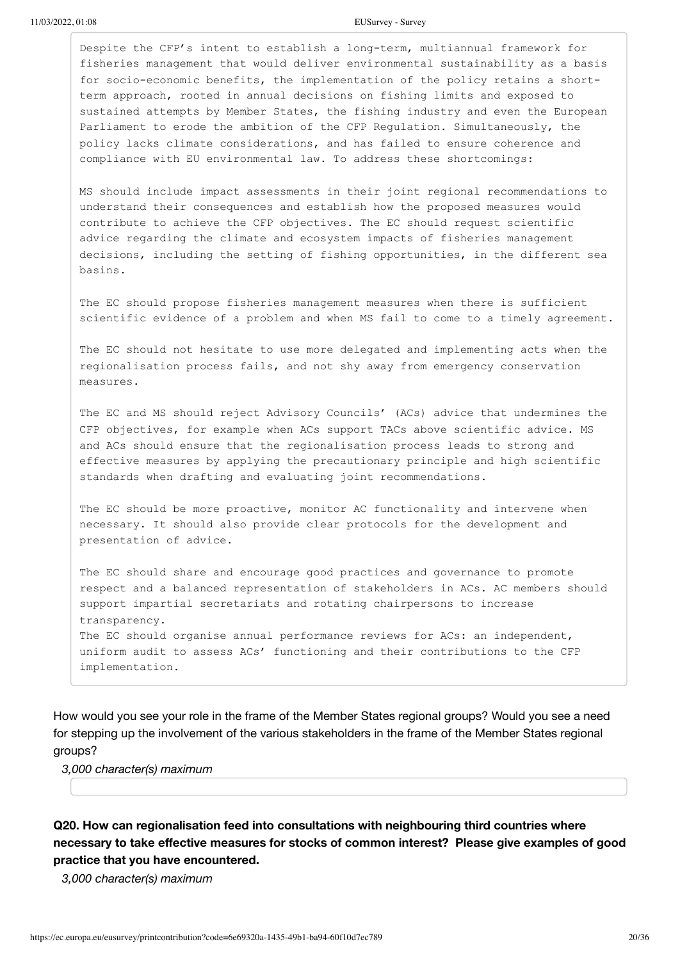Despite the CFP's intent to establish a long-term, multiannual framework for fisheries management that would deliver environmental sustainability as a basis for socio-economic benefits, the implementation of the policy retains a shortterm approach, rooted in annual decisions on fishing limits and exposed to sustained attempts by Member States, the fishing industry and even the European Parliament to erode the ambition of the CFP Regulation. Simultaneously, the policy lacks climate considerations, and has failed to ensure coherence and compliance with EU environmental law. To address these shortcomings:

MS should include impact assessments in their joint regional recommendations to understand their consequences and establish how the proposed measures would contribute to achieve the CFP objectives. The EC should request scientific advice regarding the climate and ecosystem impacts of fisheries management decisions, including the setting of fishing opportunities, in the different sea basins.

The EC should propose fisheries management measures when there is sufficient scientific evidence of a problem and when MS fail to come to a timely agreement.

The EC should not hesitate to use more delegated and implementing acts when the regionalisation process fails, and not shy away from emergency conservation measures.

The EC and MS should reject Advisory Councils' (ACs) advice that undermines the CFP objectives, for example when ACs support TACs above scientific advice. MS and ACs should ensure that the regionalisation process leads to strong and effective measures by applying the precautionary principle and high scientific standards when drafting and evaluating joint recommendations.

The EC should be more proactive, monitor AC functionality and intervene when necessary. It should also provide clear protocols for the development and presentation of advice.

The EC should share and encourage good practices and governance to promote respect and a balanced representation of stakeholders in ACs. AC members should support impartial secretariats and rotating chairpersons to increase transparency. The EC should organise annual performance reviews for ACs: an independent, uniform audit to assess ACs' functioning and their contributions to the CFP implementation.

How would you see your role in the frame of the Member States regional groups? Would you see a need for stepping up the involvement of the various stakeholders in the frame of the Member States regional groups?

*3,000 character(s) maximum*

**Q20. How can regionalisation feed into consultations with neighbouring third countries where necessary to take effective measures for stocks of common interest? Please give examples of good practice that you have encountered.**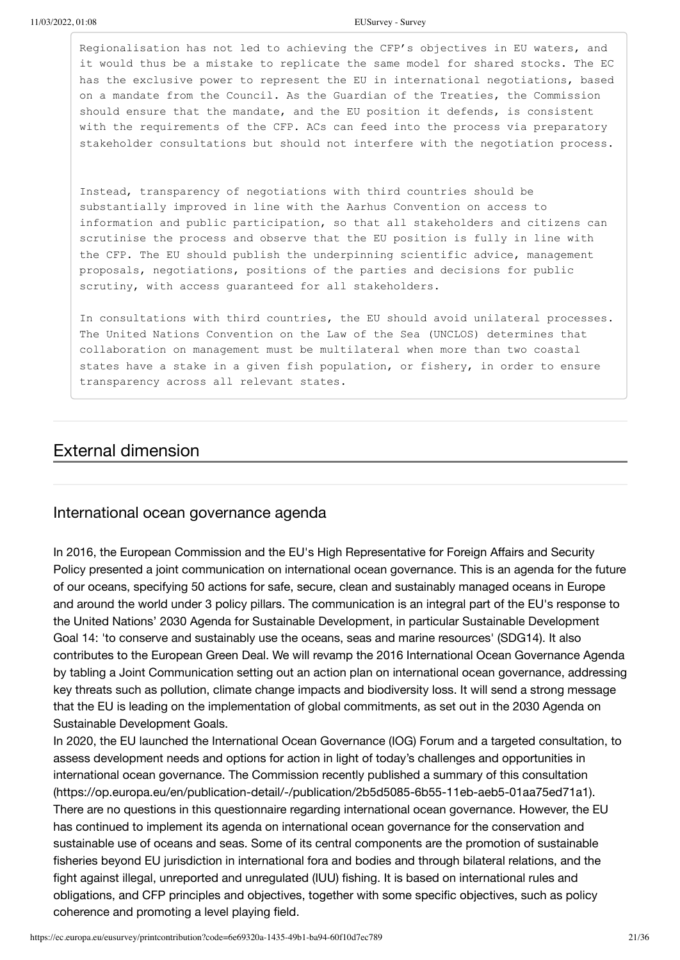Regionalisation has not led to achieving the CFP's objectives in EU waters, and it would thus be a mistake to replicate the same model for shared stocks. The EC has the exclusive power to represent the EU in international negotiations, based on a mandate from the Council. As the Guardian of the Treaties, the Commission should ensure that the mandate, and the EU position it defends, is consistent with the requirements of the CFP. ACs can feed into the process via preparatory stakeholder consultations but should not interfere with the negotiation process.

Instead, transparency of negotiations with third countries should be substantially improved in line with the Aarhus Convention on access to information and public participation, so that all stakeholders and citizens can scrutinise the process and observe that the EU position is fully in line with the CFP. The EU should publish the underpinning scientific advice, management proposals, negotiations, positions of the parties and decisions for public scrutiny, with access guaranteed for all stakeholders.

In consultations with third countries, the EU should avoid unilateral processes. The United Nations Convention on the Law of the Sea (UNCLOS) determines that collaboration on management must be multilateral when more than two coastal states have a stake in a given fish population, or fishery, in order to ensure transparency across all relevant states.

### External dimension

### International ocean governance agenda

In 2016, the European Commission and the EU's High Representative for Foreign Affairs and Security Policy presented a joint communication on international ocean governance. This is an agenda for the future of our oceans, specifying 50 actions for safe, secure, clean and sustainably managed oceans in Europe and around the world under 3 policy pillars. The communication is an integral part of the EU's response to the United Nations' 2030 Agenda for Sustainable Development, in particular Sustainable Development Goal 14: 'to conserve and sustainably use the oceans, seas and marine resources' (SDG14). It also contributes to the European Green Deal. We will revamp the 2016 International Ocean Governance Agenda by tabling a Joint Communication setting out an action plan on international ocean governance, addressing key threats such as pollution, climate change impacts and biodiversity loss. It will send a strong message that the EU is leading on the implementation of global commitments, as set out in the 2030 Agenda on Sustainable Development Goals.

In 2020, the EU launched the International Ocean Governance (IOG) Forum and a targeted consultation, to assess development needs and options for action in light of today's challenges and opportunities in [international ocean governance. The Commission recently published a summary of this consultation](https://op.europa.eu/en/publication-detail/-/publication/2b5d5085-6b55-11eb-aeb5-01aa75ed71a1) (https://op.europa.eu/en/publication-detail/-/publication/2b5d5085-6b55-11eb-aeb5-01aa75ed71a1). There are no questions in this questionnaire regarding international ocean governance. However, the EU has continued to implement its agenda on international ocean governance for the conservation and sustainable use of oceans and seas. Some of its central components are the promotion of sustainable fisheries beyond EU jurisdiction in international fora and bodies and through bilateral relations, and the fight against illegal, unreported and unregulated (IUU) fishing. It is based on international rules and obligations, and CFP principles and objectives, together with some specific objectives, such as policy coherence and promoting a level playing field.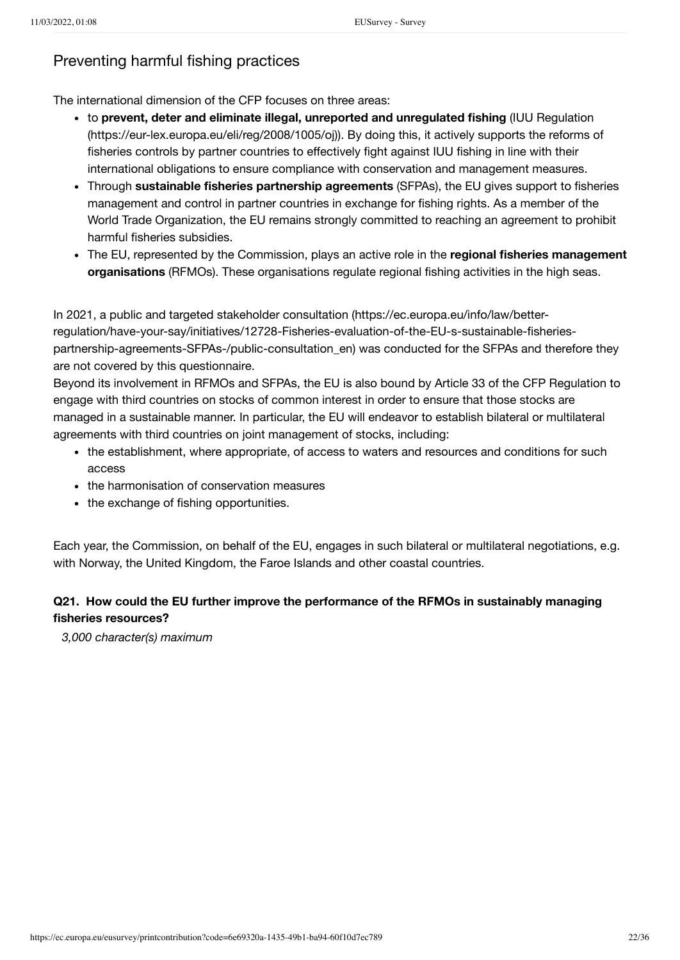### Preventing harmful fishing practices

The international dimension of the CFP focuses on three areas:

- to **prevent, deter and eliminate illegal, unreported and unregulated fishing** (IUU Regulation [\(https://eur-lex.europa.eu/eli/reg/2008/1005/oj\)\). By doing this, it actively supports the reforms o](https://eur-lex.europa.eu/eli/reg/2008/1005/oj)f fisheries controls by partner countries to effectively fight against IUU fishing in line with their international obligations to ensure compliance with conservation and management measures.
- Through **sustainable fisheries partnership agreements** (SFPAs), the EU gives support to fisheries management and control in partner countries in exchange for fishing rights. As a member of the World Trade Organization, the EU remains strongly committed to reaching an agreement to prohibit harmful fisheries subsidies.
- The EU, represented by the Commission, plays an active role in the **regional fisheries management organisations** (RFMOs). These organisations regulate regional fishing activities in the high seas.

In 2021, a public and targeted stakeholder consultation (https://ec.europa.eu/info/law/better[regulation/have-your-say/initiatives/12728-Fisheries-evaluation-of-the-EU-s-sustainable-fisheries](https://ec.europa.eu/info/law/better-regulation/have-your-say/initiatives/12728-Fisheries-evaluation-of-the-EU-s-sustainable-fisheries-partnership-agreements-SFPAs-/public-consultation_en)partnership-agreements-SFPAs-/public-consultation\_en) was conducted for the SFPAs and therefore they are not covered by this questionnaire.

Beyond its involvement in RFMOs and SFPAs, the EU is also bound by Article 33 of the CFP Regulation to engage with third countries on stocks of common interest in order to ensure that those stocks are managed in a sustainable manner. In particular, the EU will endeavor to establish bilateral or multilateral agreements with third countries on joint management of stocks, including:

- the establishment, where appropriate, of access to waters and resources and conditions for such access
- the harmonisation of conservation measures
- the exchange of fishing opportunities.

Each year, the Commission, on behalf of the EU, engages in such bilateral or multilateral negotiations, e.g. with Norway, the United Kingdom, the Faroe Islands and other coastal countries.

### **Q21. How could the EU further improve the performance of the RFMOs in sustainably managing fisheries resources?**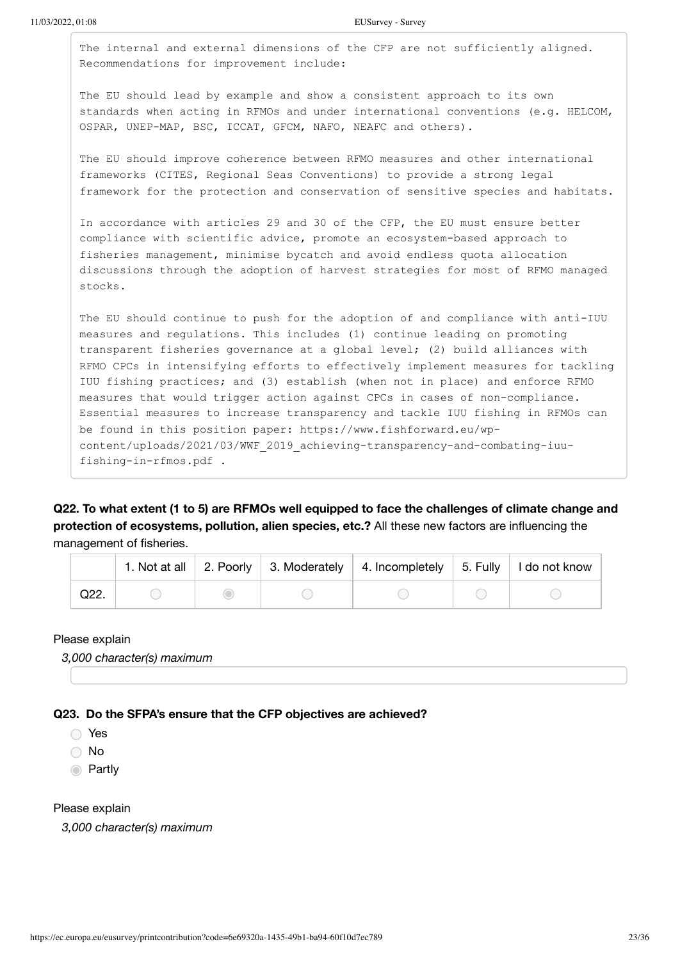The internal and external dimensions of the CFP are not sufficiently aligned. Recommendations for improvement include:

The EU should lead by example and show a consistent approach to its own standards when acting in RFMOs and under international conventions (e.g. HELCOM, OSPAR, UNEP-MAP, BSC, ICCAT, GFCM, NAFO, NEAFC and others).

The EU should improve coherence between RFMO measures and other international frameworks (CITES, Regional Seas Conventions) to provide a strong legal framework for the protection and conservation of sensitive species and habitats.

In accordance with articles 29 and 30 of the CFP, the EU must ensure better compliance with scientific advice, promote an ecosystem-based approach to fisheries management, minimise bycatch and avoid endless quota allocation discussions through the adoption of harvest strategies for most of RFMO managed stocks.

The EU should continue to push for the adoption of and compliance with anti-IUU measures and regulations. This includes (1) continue leading on promoting transparent fisheries governance at a global level; (2) build alliances with RFMO CPCs in intensifying efforts to effectively implement measures for tackling IUU fishing practices; and (3) establish (when not in place) and enforce RFMO measures that would trigger action against CPCs in cases of non-compliance. Essential measures to increase transparency and tackle IUU fishing in RFMOs can be found in this position paper: https://www.fishforward.eu/wpcontent/uploads/2021/03/WWF\_2019\_achieving-transparency-and-combating-iuufishing-in-rfmos.pdf .

**Q22. To what extent (1 to 5) are RFMOs well equipped to face the challenges of climate change and protection of ecosystems, pollution, alien species, etc.?** All these new factors are influencing the management of fisheries.

|      |  | 1. Not at all 2. Poorly 3. Moderately 4. Incompletely 5. Fully 1do not know |  |
|------|--|-----------------------------------------------------------------------------|--|
| Q22. |  |                                                                             |  |

#### Please explain

*3,000 character(s) maximum*

### **Q23. Do the SFPA's ensure that the CFP objectives are achieved?**

◯ Yes

◯ No

**O** Partly

Please explain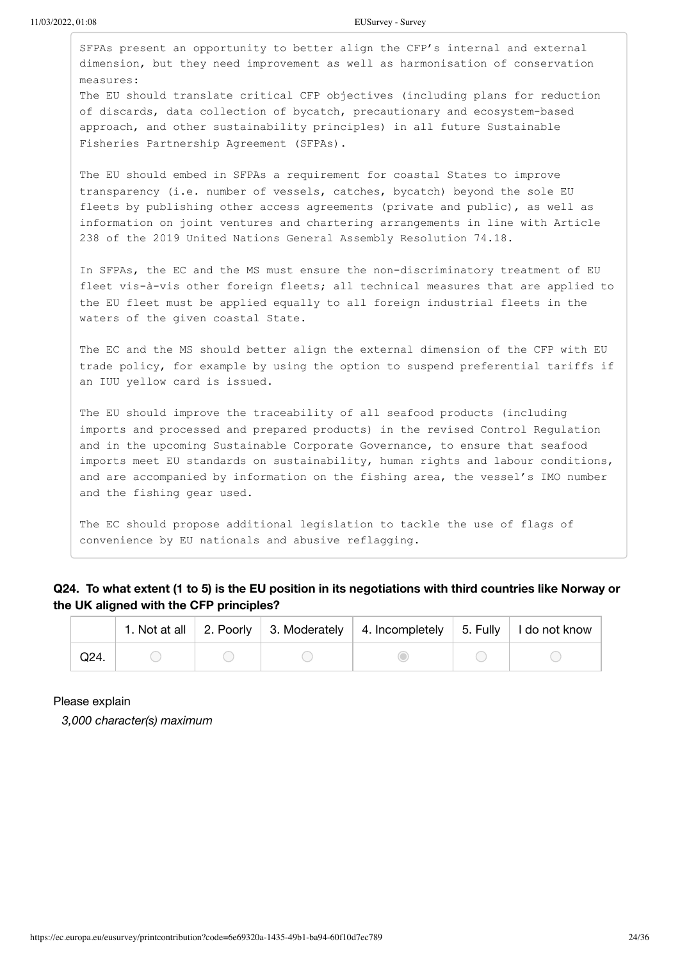SFPAs present an opportunity to better align the CFP's internal and external dimension, but they need improvement as well as harmonisation of conservation measures: The EU should translate critical CFP objectives (including plans for reduction of discards, data collection of bycatch, precautionary and ecosystem-based approach, and other sustainability principles) in all future Sustainable Fisheries Partnership Agreement (SFPAs). The EU should embed in SFPAs a requirement for coastal States to improve transparency (i.e. number of vessels, catches, bycatch) beyond the sole EU fleets by publishing other access agreements (private and public), as well as information on joint ventures and chartering arrangements in line with Article 238 of the 2019 United Nations General Assembly Resolution 74.18. In SFPAs, the EC and the MS must ensure the non-discriminatory treatment of EU fleet vis-à-vis other foreign fleets; all technical measures that are applied to the EU fleet must be applied equally to all foreign industrial fleets in the waters of the given coastal State. The EC and the MS should better align the external dimension of the CFP with EU trade policy, for example by using the option to suspend preferential tariffs if an IUU yellow card is issued. The EU should improve the traceability of all seafood products (including imports and processed and prepared products) in the revised Control Regulation and in the upcoming Sustainable Corporate Governance, to ensure that seafood imports meet EU standards on sustainability, human rights and labour conditions, and are accompanied by information on the fishing area, the vessel's IMO number and the fishing gear used.

The EC should propose additional legislation to tackle the use of flags of convenience by EU nationals and abusive reflagging.

### **Q24. To what extent (1 to 5) is the EU position in its negotiations with third countries like Norway or the UK aligned with the CFP principles?**

|      |  | 1. Not at all $\vert$ 2. Poorly $\vert$ 3. Moderately $\vert$ 4. Incompletely $\vert$ 5. Fully $\vert$ | ∣ I do not know |
|------|--|--------------------------------------------------------------------------------------------------------|-----------------|
| Q24. |  |                                                                                                        |                 |

Please explain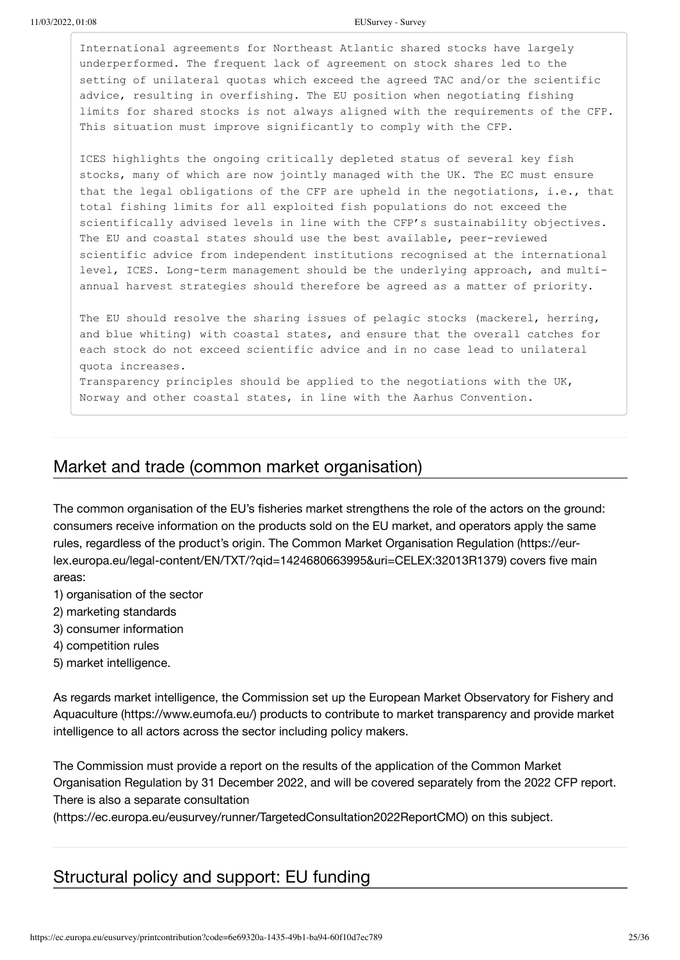International agreements for Northeast Atlantic shared stocks have largely underperformed. The frequent lack of agreement on stock shares led to the setting of unilateral quotas which exceed the agreed TAC and/or the scientific advice, resulting in overfishing. The EU position when negotiating fishing limits for shared stocks is not always aligned with the requirements of the CFP. This situation must improve significantly to comply with the CFP.

ICES highlights the ongoing critically depleted status of several key fish stocks, many of which are now jointly managed with the UK. The EC must ensure that the legal obligations of the CFP are upheld in the negotiations, i.e., that total fishing limits for all exploited fish populations do not exceed the scientifically advised levels in line with the CFP's sustainability objectives. The EU and coastal states should use the best available, peer-reviewed scientific advice from independent institutions recognised at the international level, ICES. Long-term management should be the underlying approach, and multiannual harvest strategies should therefore be agreed as a matter of priority.

The EU should resolve the sharing issues of pelagic stocks (mackerel, herring, and blue whiting) with coastal states, and ensure that the overall catches for each stock do not exceed scientific advice and in no case lead to unilateral quota increases.

Transparency principles should be applied to the negotiations with the UK, Norway and other coastal states, in line with the Aarhus Convention.

### Market and trade (common market organisation)

The common organisation of the EU's fisheries market strengthens the role of the actors on the ground: consumers receive information on the products sold on the EU market, and operators apply the same [rules, regardless of the product's origin. The Common Market Organisation Regulation \(https://eur](https://eur-lex.europa.eu/legal-content/EN/TXT/?qid=1424680663995&uri=CELEX:32013R1379)lex.europa.eu/legal-content/EN/TXT/?qid=1424680663995&uri=CELEX:32013R1379) covers five main areas:

- 1) organisation of the sector
- 2) marketing standards
- 3) consumer information
- 4) competition rules
- 5) market intelligence.

[As regards market intelligence, the Commission set up the European Market Observatory for Fishery and](https://www.eumofa.eu/) Aquaculture (https://www.eumofa.eu/) products to contribute to market transparency and provide market intelligence to all actors across the sector including policy makers.

The Commission must provide a report on the results of the application of the Common Market Organisation Regulation by 31 December 2022, and will be covered separately from the 2022 CFP report. There is also a separate consultation

[\(https://ec.europa.eu/eusurvey/runner/TargetedConsultation2022ReportCMO\)](https://ec.europa.eu/eusurvey/runner/TargetedConsultation2022ReportCMO) on this subject.

### Structural policy and support: EU funding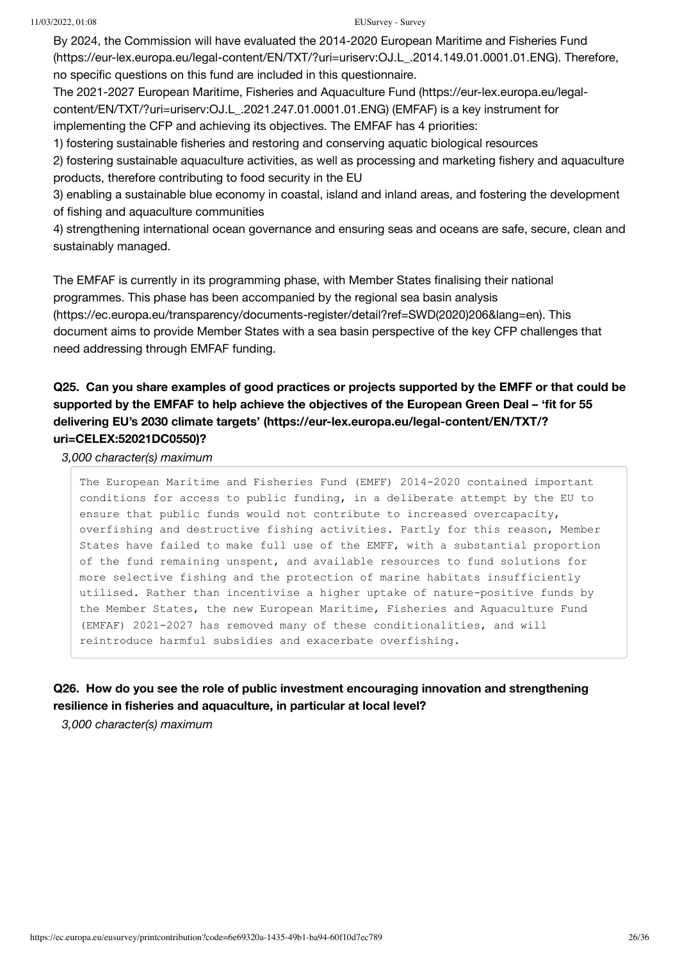[By 2024, the Commission will have evaluated the 2014-2020 European Maritime and Fisheries Fund](https://eur-lex.europa.eu/legal-content/EN/TXT/?uri=uriserv:OJ.L_.2014.149.01.0001.01.ENG) (https://eur-lex.europa.eu/legal-content/EN/TXT/?uri=uriserv:OJ.L\_.2014.149.01.0001.01.ENG). Therefore, no specific questions on this fund are included in this questionnaire.

[The 2021-2027 European Maritime, Fisheries and Aquaculture Fund \(https://eur-lex.europa.eu/legal](https://eur-lex.europa.eu/legal-content/EN/TXT/?uri=uriserv:OJ.L_.2021.247.01.0001.01.ENG)content/EN/TXT/?uri=uriserv:OJ.L\_.2021.247.01.0001.01.ENG) (EMFAF) is a key instrument for implementing the CFP and achieving its objectives. The EMFAF has 4 priorities:

1) fostering sustainable fisheries and restoring and conserving aquatic biological resources

2) fostering sustainable aquaculture activities, as well as processing and marketing fishery and aquaculture products, therefore contributing to food security in the EU

3) enabling a sustainable blue economy in coastal, island and inland areas, and fostering the development of fishing and aquaculture communities

4) strengthening international ocean governance and ensuring seas and oceans are safe, secure, clean and sustainably managed.

The EMFAF is currently in its programming phase, with Member States finalising their national programmes. This phase has been accompanied by the regional sea basin analysis [\(https://ec.europa.eu/transparency/documents-register/detail?ref=SWD\(2020\)206&lang=en\).](https://ec.europa.eu/transparency/documents-register/detail?ref=SWD(2020)206&lang=en) This document aims to provide Member States with a sea basin perspective of the key CFP challenges that need addressing through EMFAF funding.

### **Q25. Can you share examples of good practices or projects supported by the EMFF or that could be [supported by the EMFAF to help achieve the objectives of the European Green Deal – 'fit for 55](https://eur-lex.europa.eu/legal-content/EN/TXT/?uri=CELEX:52021DC0550) delivering EU's 2030 climate targets' (https://eur-lex.europa.eu/legal-content/EN/TXT/? uri=CELEX:52021DC0550)?**

*3,000 character(s) maximum*

The European Maritime and Fisheries Fund (EMFF) 2014-2020 contained important conditions for access to public funding, in a deliberate attempt by the EU to ensure that public funds would not contribute to increased overcapacity, overfishing and destructive fishing activities. Partly for this reason, Member States have failed to make full use of the EMFF, with a substantial proportion of the fund remaining unspent, and available resources to fund solutions for more selective fishing and the protection of marine habitats insufficiently utilised. Rather than incentivise a higher uptake of nature-positive funds by the Member States, the new European Maritime, Fisheries and Aquaculture Fund (EMFAF) 2021-2027 has removed many of these conditionalities, and will reintroduce harmful subsidies and exacerbate overfishing.

### **Q26. How do you see the role of public investment encouraging innovation and strengthening resilience in fisheries and aquaculture, in particular at local level?**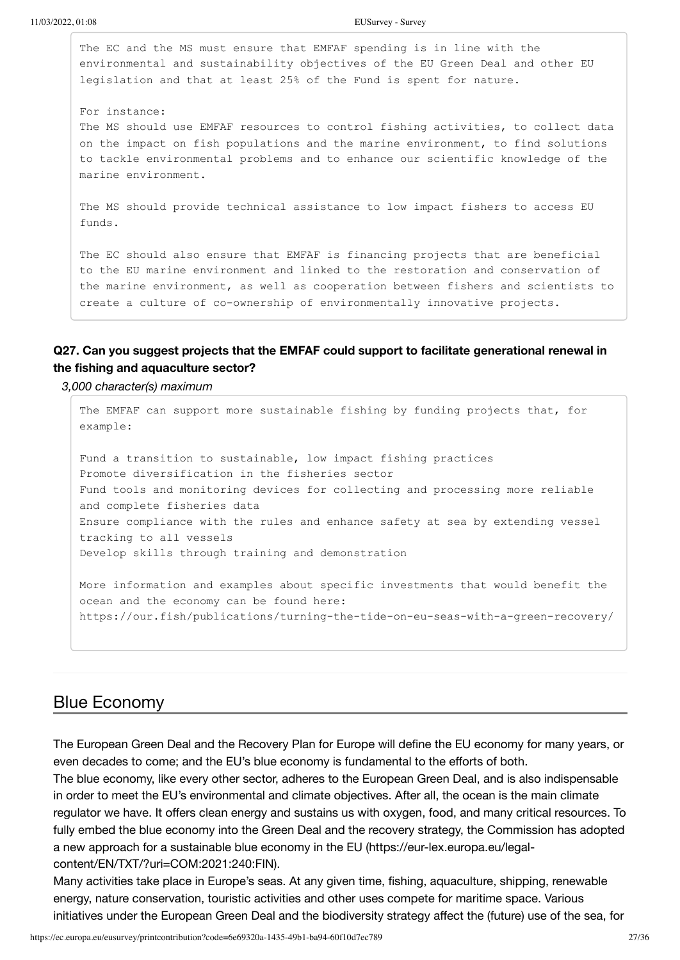The EC and the MS must ensure that EMFAF spending is in line with the environmental and sustainability objectives of the EU Green Deal and other EU legislation and that at least 25% of the Fund is spent for nature.

For instance: The MS should use EMFAF resources to control fishing activities, to collect data on the impact on fish populations and the marine environment, to find solutions to tackle environmental problems and to enhance our scientific knowledge of the marine environment.

The MS should provide technical assistance to low impact fishers to access EU funds.

The EC should also ensure that EMFAF is financing projects that are beneficial to the EU marine environment and linked to the restoration and conservation of the marine environment, as well as cooperation between fishers and scientists to create a culture of co-ownership of environmentally innovative projects.

### **Q27. Can you suggest projects that the EMFAF could support to facilitate generational renewal in the fishing and aquaculture sector?**

*3,000 character(s) maximum*

The EMFAF can support more sustainable fishing by funding projects that, for example: Fund a transition to sustainable, low impact fishing practices Promote diversification in the fisheries sector Fund tools and monitoring devices for collecting and processing more reliable and complete fisheries data Ensure compliance with the rules and enhance safety at sea by extending vessel tracking to all vessels Develop skills through training and demonstration More information and examples about specific investments that would benefit the ocean and the economy can be found here:

https://our.fish/publications/turning-the-tide-on-eu-seas-with-a-green-recovery/

### Blue Economy

The European Green Deal and the Recovery Plan for Europe will define the EU economy for many years, or even decades to come; and the EU's blue economy is fundamental to the efforts of both.

The blue economy, like every other sector, adheres to the European Green Deal, and is also indispensable in order to meet the EU's environmental and climate objectives. After all, the ocean is the main climate regulator we have. It offers clean energy and sustains us with oxygen, food, and many critical resources. To fully embed the blue economy into the Green Deal and the recovery strategy, the Commission has adopted [a new approach for a sustainable blue economy in the EU \(https://eur-lex.europa.eu/legal](https://eur-lex.europa.eu/legal-content/EN/TXT/?uri=COM:2021:240:FIN)content/EN/TXT/?uri=COM:2021:240:FIN).

Many activities take place in Europe's seas. At any given time, fishing, aquaculture, shipping, renewable energy, nature conservation, touristic activities and other uses compete for maritime space. Various initiatives under the European Green Deal and the biodiversity strategy affect the (future) use of the sea, for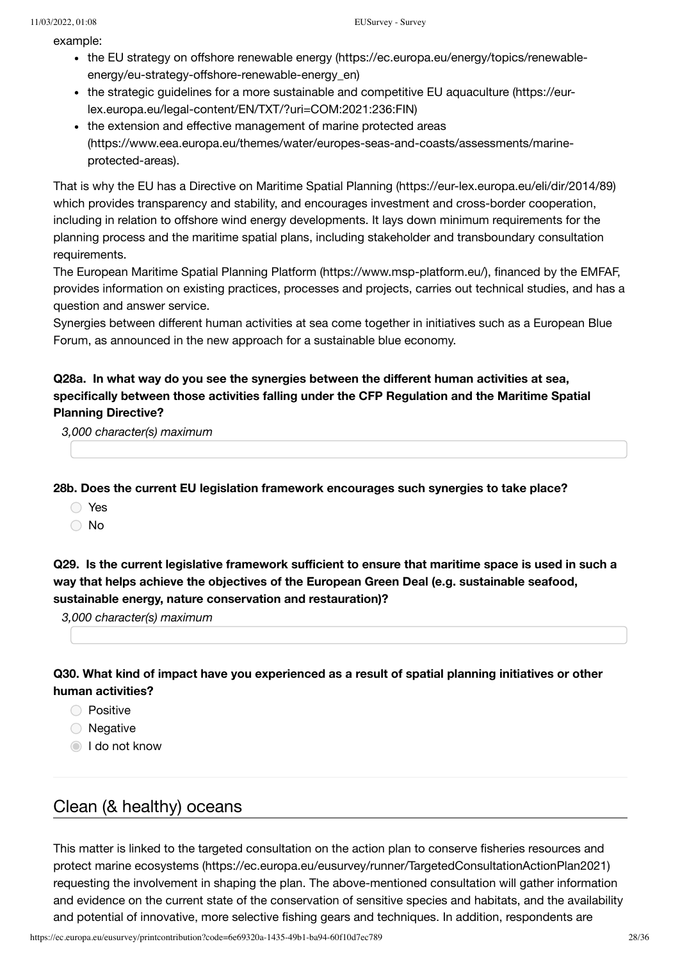example:

- [the EU strategy on offshore renewable energy \(https://ec.europa.eu/energy/topics/renewable](https://ec.europa.eu/energy/topics/renewable-energy/eu-strategy-offshore-renewable-energy_en)energy/eu-strategy-offshore-renewable-energy\_en)
- [the strategic guidelines for a more sustainable and competitive EU aquaculture \(https://eur](https://eur-lex.europa.eu/legal-content/EN/TXT/?uri=COM:2021:236:FIN)lex.europa.eu/legal-content/EN/TXT/?uri=COM:2021:236:FIN)
- the extension and effective management of marine protected areas [\(https://www.eea.europa.eu/themes/water/europes-seas-and-coasts/assessments/marine](https://www.eea.europa.eu/themes/water/europes-seas-and-coasts/assessments/marine-protected-areas)protected-areas).

That is why the EU has a [Directive on Maritime Spatial Planning \(https://eur-lex.europa.eu/eli/dir/2014/89\)](https://eur-lex.europa.eu/eli/dir/2014/89) which provides transparency and stability, and encourages investment and cross-border cooperation, including in relation to offshore wind energy developments. It lays down minimum requirements for the planning process and the maritime spatial plans, including stakeholder and transboundary consultation requirements.

The [European Maritime Spatial Planning Platform \(https://www.msp-platform.eu/\)](https://www.msp-platform.eu/), financed by the EMFAF, provides information on existing practices, processes and projects, carries out technical studies, and has a question and answer service.

Synergies between different human activities at sea come together in initiatives such as a European Blue Forum, as announced in the new approach for a sustainable blue economy.

### **Q28a. In what way do you see the synergies between the different human activities at sea, specifically between those activities falling under the CFP Regulation and the Maritime Spatial Planning Directive?**

*3,000 character(s) maximum*

**28b. Does the current EU legislation framework encourages such synergies to take place?**

- Yes
- ∩ No

**Q29. Is the current legislative framework sufficient to ensure that maritime space is used in such a way that helps achieve the objectives of the European Green Deal (e.g. sustainable seafood, sustainable energy, nature conservation and restauration)?**

*3,000 character(s) maximum*

### **Q30. What kind of impact have you experienced as a result of spatial planning initiatives or other human activities?**

- **Positive**
- O Negative
- **I** do not know

## Clean (& healthy) oceans

[This matter is linked to the targeted consultation on the action plan to conserve fisheries resources and](https://ec.europa.eu/eusurvey/runner/TargetedConsultationActionPlan2021) protect marine ecosystems (https://ec.europa.eu/eusurvey/runner/TargetedConsultationActionPlan2021) requesting the involvement in shaping the plan. The above-mentioned consultation will gather information and evidence on the current state of the conservation of sensitive species and habitats, and the availability and potential of innovative, more selective fishing gears and techniques. In addition, respondents are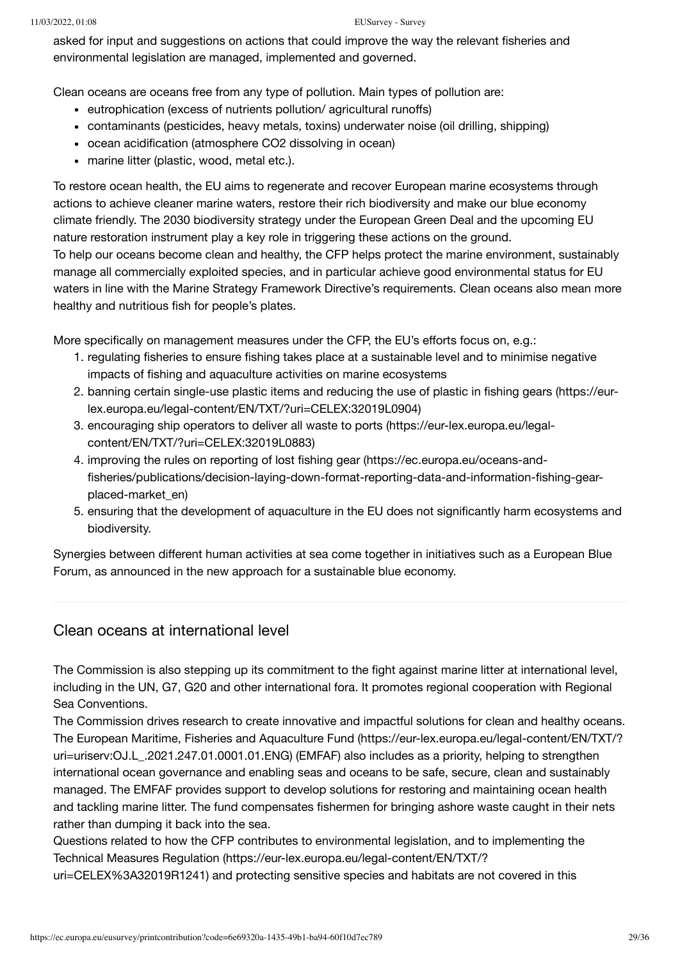#### 11/03/2022, 01:08 EUSurvey - Survey

asked for input and suggestions on actions that could improve the way the relevant fisheries and environmental legislation are managed, implemented and governed.

Clean oceans are oceans free from any type of pollution. Main types of pollution are:

- eutrophication (excess of nutrients pollution/ agricultural runoffs)
- contaminants (pesticides, heavy metals, toxins) underwater noise (oil drilling, shipping)
- ocean acidification (atmosphere CO2 dissolving in ocean)
- marine litter (plastic, wood, metal etc.).

To restore ocean health, the EU aims to regenerate and recover European marine ecosystems through actions to achieve cleaner marine waters, restore their rich biodiversity and make our blue economy climate friendly. The 2030 biodiversity strategy under the European Green Deal and the upcoming EU nature restoration instrument play a key role in triggering these actions on the ground. To help our oceans become clean and healthy, the CFP helps protect the marine environment, sustainably manage all commercially exploited species, and in particular achieve good environmental status for EU waters in line with the Marine Strategy Framework Directive's requirements. Clean oceans also mean more healthy and nutritious fish for people's plates.

More specifically on management measures under the CFP, the EU's efforts focus on, e.g.:

- 1. regulating fisheries to ensure fishing takes place at a sustainable level and to minimise negative impacts of fishing and aquaculture activities on marine ecosystems
- 2. [banning certain single-use plastic items and reducing the use of plastic in fishing gears \(https://eur](https://eur-lex.europa.eu/legal-content/EN/TXT/?uri=CELEX:32019L0904)lex.europa.eu/legal-content/EN/TXT/?uri=CELEX:32019L0904)
- 3. [encouraging ship operators to deliver all waste to ports \(https://eur-lex.europa.eu/legal](https://eur-lex.europa.eu/legal-content/EN/TXT/?uri=CELEX:32019L0883)content/EN/TXT/?uri=CELEX:32019L0883)
- 4. improving the rules on reporting of lost fishing gear (https://ec.europa.eu/oceans-and[fisheries/publications/decision-laying-down-format-reporting-data-and-information-fishing-gear](https://ec.europa.eu/oceans-and-fisheries/publications/decision-laying-down-format-reporting-data-and-information-fishing-gear-placed-market_en)placed-market\_en)
- 5. ensuring that the development of aquaculture in the EU does not significantly harm ecosystems and biodiversity.

Synergies between different human activities at sea come together in initiatives such as a European Blue Forum, as announced in the new approach for a sustainable blue economy.

### Clean oceans at international level

The Commission is also stepping up its commitment to the fight against marine litter at international level, including in the UN, G7, G20 and other international fora. It promotes regional cooperation with Regional Sea Conventions.

The Commission drives research to create innovative and impactful solutions for clean and healthy oceans. [The European Maritime, Fisheries and Aquaculture Fund \(https://eur-lex.europa.eu/legal-content/EN/TXT/?](https://eur-lex.europa.eu/legal-content/EN/TXT/?uri=uriserv:OJ.L_.2021.247.01.0001.01.ENG) uri=uriserv:OJ.L\_.2021.247.01.0001.01.ENG) (EMFAF) also includes as a priority, helping to strengthen international ocean governance and enabling seas and oceans to be safe, secure, clean and sustainably managed. The EMFAF provides support to develop solutions for restoring and maintaining ocean health and tackling marine litter. The fund compensates fishermen for bringing ashore waste caught in their nets rather than dumping it back into the sea.

Questions related to how the CFP contributes to environmental legislation, and to implementing the [Technical Measures Regulation \(https://eur-lex.europa.eu/legal-content/EN/TXT/?](https://eur-lex.europa.eu/legal-content/EN/TXT/?uri=CELEX%3A32019R1241)

uri=CELEX%3A32019R1241) and protecting sensitive species and habitats are not covered in this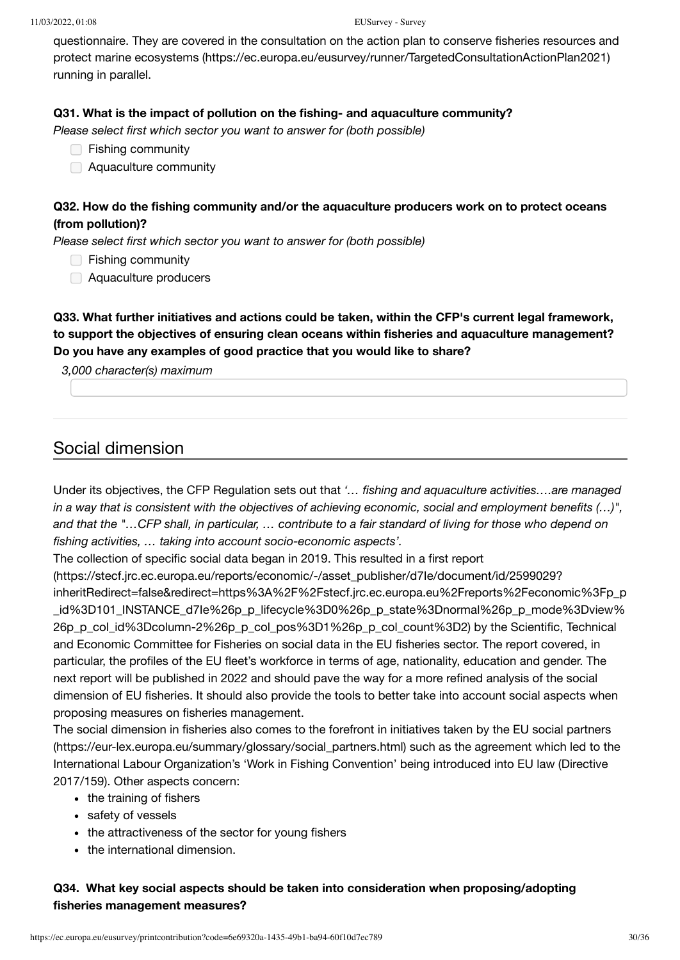[questionnaire. They are covered in the consultation on the action plan to conserve fisheries resources and](https://ec.europa.eu/eusurvey/runner/TargetedConsultationActionPlan2021) protect marine ecosystems (https://ec.europa.eu/eusurvey/runner/TargetedConsultationActionPlan2021) running in parallel.

### **Q31. What is the impact of pollution on the fishing- and aquaculture community?**

*Please select first which sector you want to answer for (both possible)*

- **□ Fishing community**
- Aquaculture community

### **Q32. How do the fishing community and/or the aquaculture producers work on to protect oceans (from pollution)?**

*Please select first which sector you want to answer for (both possible)* 

- **Fishing community**
- Aquaculture producers

**Q33. What further initiatives and actions could be taken, within the CFP's current legal framework, to support the objectives of ensuring clean oceans within fisheries and aquaculture management? Do you have any examples of good practice that you would like to share?**

#### *3,000 character(s) maximum*

### Social dimension

Under its objectives, the CFP Regulation sets out that *'… fishing and aquaculture activities….are managed in a way that is consistent with the objectives of achieving economic, social and employment benefits (…)", and that the "…CFP shall, in particular, … contribute to a fair standard of living for those who depend on fishing activities, … taking into account socio-economic aspects'.*

The collection of specific social data began in 2019. This resulted in a first report

(https://stecf.jrc.ec.europa.eu/reports/economic/-/asset\_publisher/d7Ie/document/id/2599029? [inheritRedirect=false&redirect=https%3A%2F%2Fstecf.jrc.ec.europa.eu%2Freports%2Feconomic%3Fp\\_p](https://stecf.jrc.ec.europa.eu/reports/economic/-/asset_publisher/d7Ie/document/id/2599029?inheritRedirect=false&redirect=https%3A%2F%2Fstecf.jrc.ec.europa.eu%2Freports%2Feconomic%3Fp_p_id%3D101_INSTANCE_d7Ie%26p_p_lifecycle%3D0%26p_p_state%3Dnormal%26p_p_mode%3Dview%26p_p_col_id%3Dcolumn-2%26p_p_col_pos%3D1%26p_p_col_count%3D2) id%3D101\_INSTANCE\_d7Ie%26p\_p\_lifecycle%3D0%26p\_p\_state%3Dnormal%26p\_p\_mode%3Dview% 26p\_p\_col\_id%3Dcolumn-2%26p\_p\_col\_pos%3D1%26p\_p\_col\_count%3D2) by the Scientific, Technical and Economic Committee for Fisheries on social data in the EU fisheries sector. The report covered, in particular, the profiles of the EU fleet's workforce in terms of age, nationality, education and gender. The next report will be published in 2022 and should pave the way for a more refined analysis of the social dimension of EU fisheries. It should also provide the tools to better take into account social aspects when proposing measures on fisheries management.

[The social dimension in fisheries also comes to the forefront in initiatives taken by the EU social partners](https://eur-lex.europa.eu/summary/glossary/social_partners.html) (https://eur-lex.europa.eu/summary/glossary/social\_partners.html) such as the agreement which led to the International Labour Organization's 'Work in Fishing Convention' being introduced into EU law (Directive 2017/159). Other aspects concern:

- the training of fishers
- safety of vessels
- the attractiveness of the sector for young fishers
- the international dimension.

### **Q34. What key social aspects should be taken into consideration when proposing/adopting fisheries management measures?**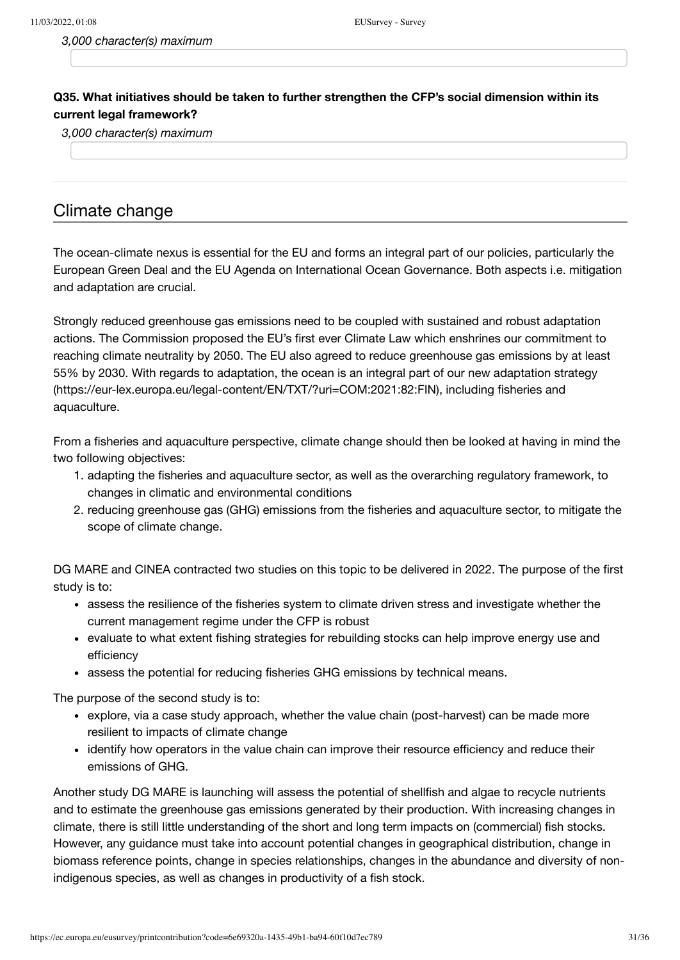*3,000 character(s) maximum*

### **Q35. What initiatives should be taken to further strengthen the CFP's social dimension within its current legal framework?**

*3,000 character(s) maximum*

### Climate change

The ocean-climate nexus is essential for the EU and forms an integral part of our policies, particularly the European Green Deal and the EU Agenda on International Ocean Governance. Both aspects i.e. mitigation and adaptation are crucial.

Strongly reduced greenhouse gas emissions need to be coupled with sustained and robust adaptation actions. The Commission proposed the EU's first ever Climate Law which enshrines our commitment to reaching climate neutrality by 2050. The EU also agreed to reduce greenhouse gas emissions by at least [55% by 2030. With regards to adaptation, the ocean is an integral part of our new adaptation strategy](https://eur-lex.europa.eu/legal-content/EN/TXT/?uri=COM:2021:82:FIN) (https://eur-lex.europa.eu/legal-content/EN/TXT/?uri=COM:2021:82:FIN), including fisheries and aquaculture.

From a fisheries and aquaculture perspective, climate change should then be looked at having in mind the two following objectives:

- 1. adapting the fisheries and aquaculture sector, as well as the overarching regulatory framework, to changes in climatic and environmental conditions
- 2. reducing greenhouse gas (GHG) emissions from the fisheries and aquaculture sector, to mitigate the scope of climate change.

DG MARE and CINEA contracted two studies on this topic to be delivered in 2022. The purpose of the first study is to:

- assess the resilience of the fisheries system to climate driven stress and investigate whether the current management regime under the CFP is robust
- evaluate to what extent fishing strategies for rebuilding stocks can help improve energy use and efficiency
- assess the potential for reducing fisheries GHG emissions by technical means.

The purpose of the second study is to:

- explore, via a case study approach, whether the value chain (post-harvest) can be made more resilient to impacts of climate change
- identify how operators in the value chain can improve their resource efficiency and reduce their emissions of GHG.

Another study DG MARE is launching will assess the potential of shellfish and algae to recycle nutrients and to estimate the greenhouse gas emissions generated by their production. With increasing changes in climate, there is still little understanding of the short and long term impacts on (commercial) fish stocks. However, any guidance must take into account potential changes in geographical distribution, change in biomass reference points, change in species relationships, changes in the abundance and diversity of nonindigenous species, as well as changes in productivity of a fish stock.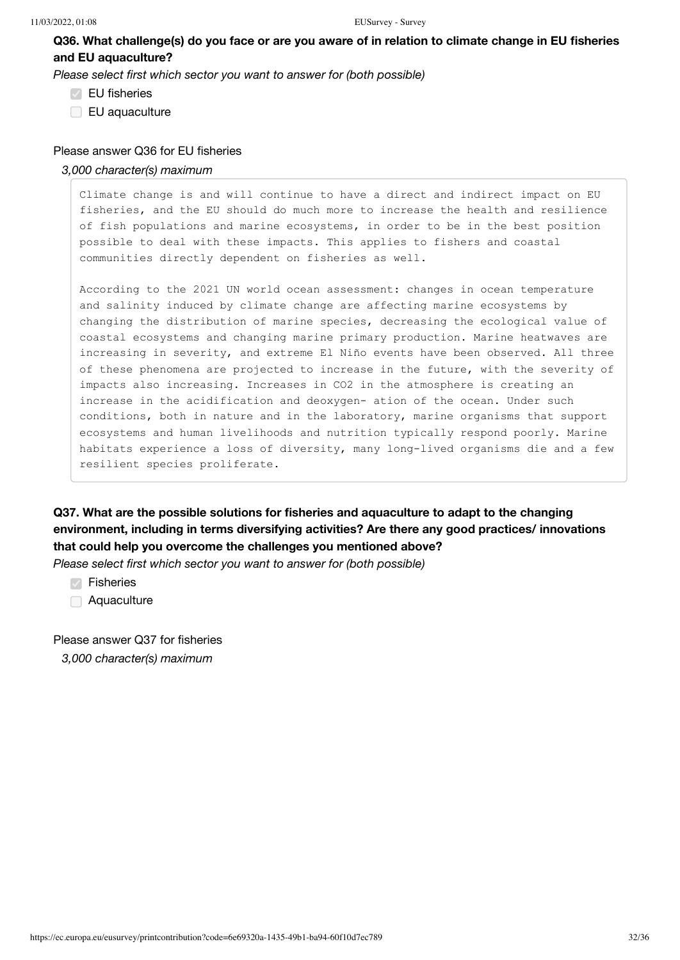**Q36. What challenge(s) do you face or are you aware of in relation to climate change in EU fisheries and EU aquaculture?**

*Please select first which sector you want to answer for (both possible)*

- EU fisheries
- EU aquaculture

#### Please answer Q36 for EU fisheries

#### *3,000 character(s) maximum*

Climate change is and will continue to have a direct and indirect impact on EU fisheries, and the EU should do much more to increase the health and resilience of fish populations and marine ecosystems, in order to be in the best position possible to deal with these impacts. This applies to fishers and coastal communities directly dependent on fisheries as well.

According to the 2021 UN world ocean assessment: changes in ocean temperature and salinity induced by climate change are affecting marine ecosystems by changing the distribution of marine species, decreasing the ecological value of coastal ecosystems and changing marine primary production. Marine heatwaves are increasing in severity, and extreme El Niño events have been observed. All three of these phenomena are projected to increase in the future, with the severity of impacts also increasing. Increases in CO2 in the atmosphere is creating an increase in the acidification and deoxygen- ation of the ocean. Under such conditions, both in nature and in the laboratory, marine organisms that support ecosystems and human livelihoods and nutrition typically respond poorly. Marine habitats experience a loss of diversity, many long-lived organisms die and a few resilient species proliferate.

**Q37. What are the possible solutions for fisheries and aquaculture to adapt to the changing environment, including in terms diversifying activities? Are there any good practices/ innovations that could help you overcome the challenges you mentioned above?** 

*Please select first which sector you want to answer for (both possible)* 

**⊘** Fisheries

Aquaculture

Please answer Q37 for fisheries *3,000 character(s) maximum*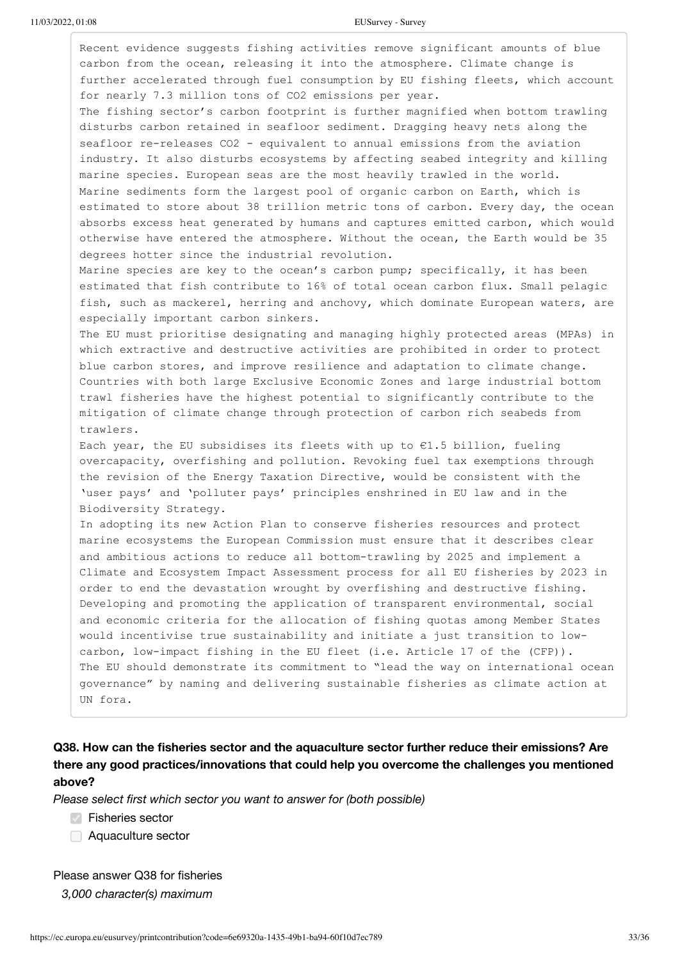Recent evidence suggests fishing activities remove significant amounts of blue carbon from the ocean, releasing it into the atmosphere. Climate change is further accelerated through fuel consumption by EU fishing fleets, which account for nearly 7.3 million tons of CO2 emissions per year. The fishing sector's carbon footprint is further magnified when bottom trawling disturbs carbon retained in seafloor sediment. Dragging heavy nets along the seafloor re-releases CO2 - equivalent to annual emissions from the aviation industry. It also disturbs ecosystems by affecting seabed integrity and killing marine species. European seas are the most heavily trawled in the world. Marine sediments form the largest pool of organic carbon on Earth, which is estimated to store about 38 trillion metric tons of carbon. Every day, the ocean absorbs excess heat generated by humans and captures emitted carbon, which would otherwise have entered the atmosphere. Without the ocean, the Earth would be 35 degrees hotter since the industrial revolution. Marine species are key to the ocean's carbon pump; specifically, it has been estimated that fish contribute to 16% of total ocean carbon flux. Small pelagic fish, such as mackerel, herring and anchovy, which dominate European waters, are especially important carbon sinkers. The EU must prioritise designating and managing highly protected areas (MPAs) in which extractive and destructive activities are prohibited in order to protect blue carbon stores, and improve resilience and adaptation to climate change. Countries with both large Exclusive Economic Zones and large industrial bottom trawl fisheries have the highest potential to significantly contribute to the mitigation of climate change through protection of carbon rich seabeds from trawlers. Each year, the EU subsidises its fleets with up to  $E1.5$  billion, fueling overcapacity, overfishing and pollution. Revoking fuel tax exemptions through the revision of the Energy Taxation Directive, would be consistent with the 'user pays' and 'polluter pays' principles enshrined in EU law and in the Biodiversity Strategy. In adopting its new Action Plan to conserve fisheries resources and protect marine ecosystems the European Commission must ensure that it describes clear and ambitious actions to reduce all bottom-trawling by 2025 and implement a Climate and Ecosystem Impact Assessment process for all EU fisheries by 2023 in order to end the devastation wrought by overfishing and destructive fishing. Developing and promoting the application of transparent environmental, social and economic criteria for the allocation of fishing quotas among Member States would incentivise true sustainability and initiate a just transition to lowcarbon, low-impact fishing in the EU fleet (i.e. Article 17 of the (CFP)). The EU should demonstrate its commitment to "lead the way on international ocean governance" by naming and delivering sustainable fisheries as climate action at UN fora.

### **Q38. How can the fisheries sector and the aquaculture sector further reduce their emissions? Are there any good practices/innovations that could help you overcome the challenges you mentioned above?**

*Please select first which sector you want to answer for (both possible)*

 $\sqrt{ }$  Fisheries sector

Aquaculture sector

Please answer Q38 for fisheries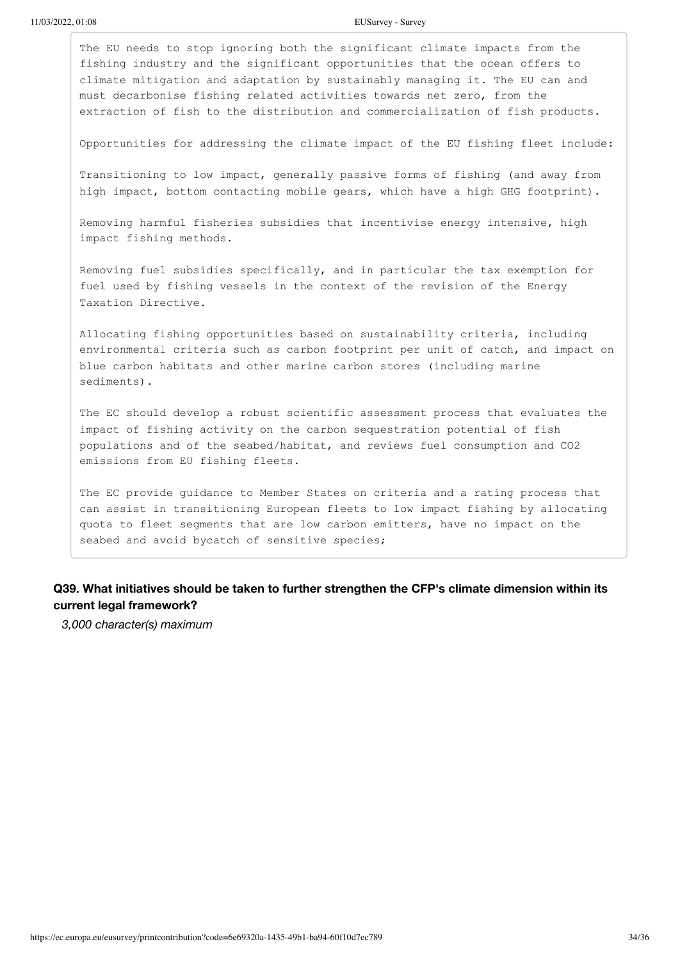The EU needs to stop ignoring both the significant climate impacts from the fishing industry and the significant opportunities that the ocean offers to climate mitigation and adaptation by sustainably managing it. The EU can and must decarbonise fishing related activities towards net zero, from the extraction of fish to the distribution and commercialization of fish products.

Opportunities for addressing the climate impact of the EU fishing fleet include:

Transitioning to low impact, generally passive forms of fishing (and away from high impact, bottom contacting mobile gears, which have a high GHG footprint).

Removing harmful fisheries subsidies that incentivise energy intensive, high impact fishing methods.

Removing fuel subsidies specifically, and in particular the tax exemption for fuel used by fishing vessels in the context of the revision of the Energy Taxation Directive.

Allocating fishing opportunities based on sustainability criteria, including environmental criteria such as carbon footprint per unit of catch, and impact on blue carbon habitats and other marine carbon stores (including marine sediments).

The EC should develop a robust scientific assessment process that evaluates the impact of fishing activity on the carbon sequestration potential of fish populations and of the seabed/habitat, and reviews fuel consumption and CO2 emissions from EU fishing fleets.

The EC provide guidance to Member States on criteria and a rating process that can assist in transitioning European fleets to low impact fishing by allocating quota to fleet segments that are low carbon emitters, have no impact on the seabed and avoid bycatch of sensitive species;

### **Q39. What initiatives should be taken to further strengthen the CFP's climate dimension within its current legal framework?**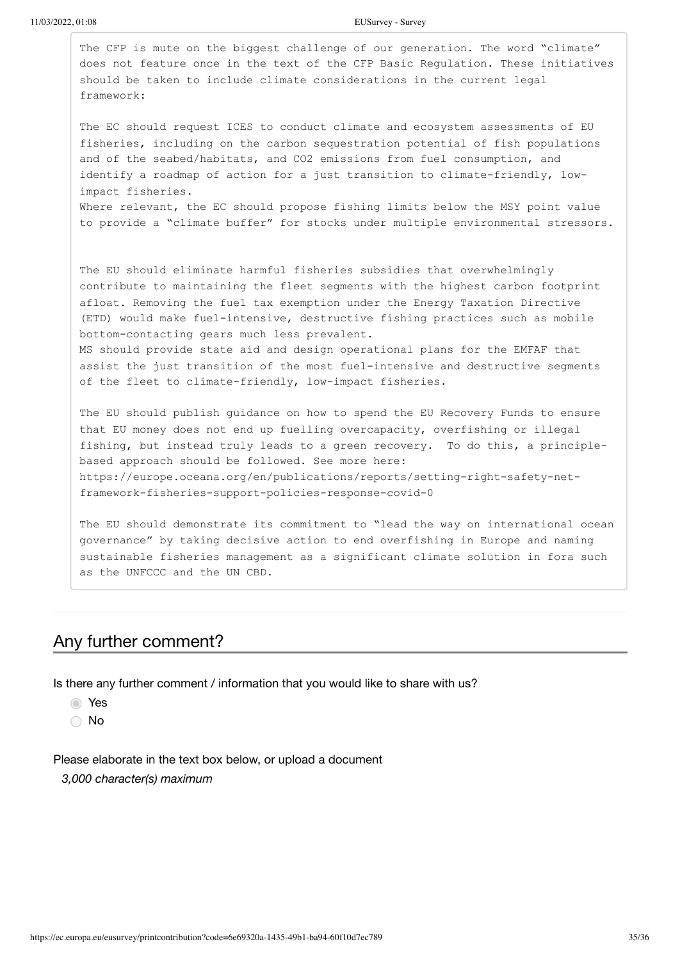| The CFP is mute on the biggest challenge of our generation. The word "climate"<br>does not feature once in the text of the CFP Basic Regulation. These initiatives<br>should be taken to include climate considerations in the current legal<br>framework:                                                                                                                                                                                                                                                                                                                                            |  |
|-------------------------------------------------------------------------------------------------------------------------------------------------------------------------------------------------------------------------------------------------------------------------------------------------------------------------------------------------------------------------------------------------------------------------------------------------------------------------------------------------------------------------------------------------------------------------------------------------------|--|
| The EC should request ICES to conduct climate and ecosystem assessments of EU<br>fisheries, including on the carbon sequestration potential of fish populations<br>and of the seabed/habitats, and CO2 emissions from fuel consumption, and<br>identify a roadmap of action for a just transition to climate-friendly, low-<br>impact fisheries.<br>Where relevant, the EC should propose fishing limits below the MSY point value<br>to provide a "climate buffer" for stocks under multiple environmental stressors.                                                                                |  |
| The EU should eliminate harmful fisheries subsidies that overwhelmingly<br>contribute to maintaining the fleet segments with the highest carbon footprint<br>afloat. Removing the fuel tax exemption under the Energy Taxation Directive<br>(ETD) would make fuel-intensive, destructive fishing practices such as mobile<br>bottom-contacting gears much less prevalent.<br>MS should provide state aid and design operational plans for the EMFAF that<br>assist the just transition of the most fuel-intensive and destructive segments<br>of the fleet to climate-friendly, low-impact fisheries. |  |
| The EU should publish guidance on how to spend the EU Recovery Funds to ensure<br>that EU money does not end up fuelling overcapacity, overfishing or illegal<br>fishing, but instead truly leads to a green recovery. To do this, a principle-<br>based approach should be followed. See more here:<br>https://europe.oceana.org/en/publications/reports/setting-right-safety-net-<br>framework-fisheries-support-policies-response-covid-0                                                                                                                                                          |  |
| The EU should demonstrate its commitment to "lead the way on international ocean<br>governance" by taking decisive action to end overfishing in Europe and naming<br>sustainable fisheries management as a significant climate solution in fora such                                                                                                                                                                                                                                                                                                                                                  |  |

# Any further comment?

as the UNFCCC and the UN CBD.

Is there any further comment / information that you would like to share with us?

Yes

○ No

Please elaborate in the text box below, or upload a document